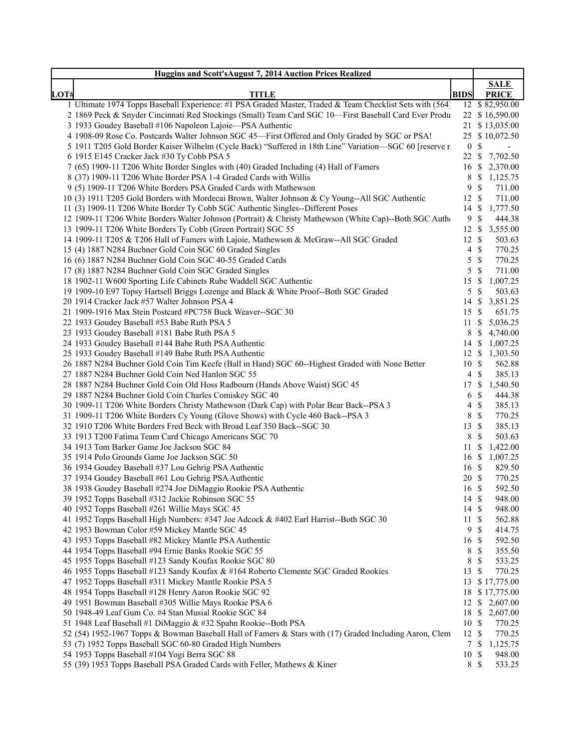|                                                                                                          |                  | <b>SALE</b>                         |
|----------------------------------------------------------------------------------------------------------|------------------|-------------------------------------|
| LOT#<br><b>TITLE</b>                                                                                     | <b>BIDS</b>      | <b>PRICE</b>                        |
| 1 Ultimate 1974 Topps Baseball Experience: #1 PSA Graded Master, Traded & Team Checklist Sets with (564) |                  | 12 \$82,950.00                      |
| 2 1869 Peck & Snyder Cincinnati Red Stockings (Small) Team Card SGC 10-First Baseball Card Ever Produ    |                  | 22 \$16,590.00                      |
| 3 1933 Goudey Baseball #106 Napoleon Lajoie-PSA Authentic                                                |                  | 21 \$ 13,035.00                     |
| 4 1908-09 Rose Co. Postcards Walter Johnson SGC 45-First Offered and Only Graded by SGC or PSA!          |                  | 25 \$ 10,072.50                     |
| 5 1911 T205 Gold Border Kaiser Wilhelm (Cycle Back) "Suffered in 18th Line" Variation-SGC 60 [reserve n  | 0 <sup>5</sup>   | $\sim$                              |
| 6 1915 E145 Cracker Jack #30 Ty Cobb PSA 5                                                               |                  | 22 \$ 7,702.50                      |
| 7 (65) 1909-11 T206 White Border Singles with (40) Graded Including (4) Hall of Famers                   |                  | 16 \$ 2,370.00                      |
| 8 (37) 1909-11 T206 White Border PSA 1-4 Graded Cards with Willis                                        |                  | 8 \$ 1,125.75                       |
| 9 (5) 1909-11 T206 White Borders PSA Graded Cards with Mathewson                                         | 9S               | 711.00                              |
| 10 (3) 1911 T205 Gold Borders with Mordecai Brown, Walter Johnson & Cy Young--All SGC Authentic          | 12 \$            | 711.00                              |
| 11 (3) 1909-11 T206 White Border Ty Cobb SGC Authentic Singles--Different Poses                          |                  | 14 \$ 1,777.50                      |
| 12 1909-11 T206 White Borders Walter Johnson (Portrait) & Christy Mathewson (White Cap)--Both SGC Autho  | 9 <sup>°</sup>   | 444.38                              |
| 13 1909-11 T206 White Borders Ty Cobb (Green Portrait) SGC 55                                            |                  | 12 \$ 3,555.00                      |
| 14 1909-11 T205 & T206 Hall of Famers with Lajoie, Mathewson & McGraw--All SGC Graded                    | $12 \text{ }$ \$ | 503.63                              |
| 15 (4) 1887 N284 Buchner Gold Coin SGC 60 Graded Singles                                                 | $4 \text{ } $$   | 770.25                              |
| 16 (6) 1887 N284 Buchner Gold Coin SGC 40-55 Graded Cards                                                | $5 \text{ }$ \$  | 770.25                              |
| 17 (8) 1887 N284 Buchner Gold Coin SGC Graded Singles                                                    | $5 \text{ }$ \$  | 711.00                              |
| 18 1902-11 W600 Sporting Life Cabinets Rube Waddell SGC Authentic                                        | 15S              | 1,007.25                            |
| 19 1909-10 E97 Topsy Hartsell Briggs Lozenge and Black & White Proof--Both SGC Graded                    | $5 \text{ }$ \$  | 503.63                              |
| 20 1914 Cracker Jack #57 Walter Johnson PSA 4                                                            |                  |                                     |
| 21 1909-1916 Max Stein Postcard #PC758 Buck Weaver--SGC 30                                               |                  | 14 \$ 3,851.25                      |
|                                                                                                          | 15 \$            | 651.75                              |
| 22 1933 Goudey Baseball #53 Babe Ruth PSA 5                                                              |                  | 11 \$ 5,036.25                      |
| 23 1933 Goudey Baseball #181 Babe Ruth PSA 5                                                             |                  | 8 \$ 4,740.00                       |
| 24 1933 Goudey Baseball #144 Babe Ruth PSA Authentic                                                     |                  | 14 \$ 1,007.25                      |
| 25 1933 Goudey Baseball #149 Babe Ruth PSA Authentic                                                     |                  | 12 \$ 1,303.50                      |
| 26 1887 N284 Buchner Gold Coin Tim Keefe (Ball in Hand) SGC 60--Highest Graded with None Better          | 10S              | 562.88                              |
| 27 1887 N284 Buchner Gold Coin Ned Hanlon SGC 55                                                         | $4 \text{ }$     | 385.13                              |
| 28 1887 N284 Buchner Gold Coin Old Hoss Radbourn (Hands Above Waist) SGC 45                              |                  | 17 \$ 1,540.50                      |
| 29 1887 N284 Buchner Gold Coin Charles Comiskey SGC 40                                                   | 6 <sup>°</sup>   | 444.38                              |
| 30 1909-11 T206 White Borders Christy Mathewson (Dark Cap) with Polar Bear Back--PSA 3                   | $4 \text{ } $$   | 385.13                              |
| 31 1909-11 T206 White Borders Cy Young (Glove Shows) with Cycle 460 Back--PSA 3                          | 8 \$             | 770.25                              |
| 32 1910 T206 White Borders Fred Beck with Broad Leaf 350 Back--SGC 30                                    | 13 \$            | 385.13                              |
| 33 1913 T200 Fatima Team Card Chicago Americans SGC 70                                                   | 8 \$             | 503.63                              |
| 34 1913 Tom Barker Game Joe Jackson SGC 84                                                               |                  | 11 \$ 1,422.00                      |
| 35 1914 Polo Grounds Game Joe Jackson SGC 50                                                             |                  | 16 \$ 1,007.25                      |
| 36 1934 Goudey Baseball #37 Lou Gehrig PSA Authentic                                                     | 16 \$            | 829.50                              |
| 37 1934 Goudey Baseball #61 Lou Gehrig PSA Authentic                                                     | 20 \$            | 770.25                              |
| 38 1938 Goudey Baseball #274 Joe DiMaggio Rookie PSA Authentic                                           | 16 \$            | 592.50                              |
| 39 1952 Topps Baseball #312 Jackie Robinson SGC 55                                                       | 14 \$            | 948.00                              |
| 40 1952 Topps Baseball #261 Willie Mays SGC 45                                                           | 14S              | 948.00                              |
| 41 1952 Topps Baseball High Numbers: #347 Joe Adcock & #402 Earl Harrist--Both SGC 30                    | 11S              | 562.88                              |
| 42 1953 Bowman Color #59 Mickey Mantle SGC 45                                                            | 9                | \$<br>414.75                        |
| 43 1953 Topps Baseball #82 Mickey Mantle PSA Authentic                                                   | 16 \$            | 592.50                              |
| 44 1954 Topps Baseball #94 Ernie Banks Rookie SGC 55                                                     | 8 \$             | 355.50                              |
| 45 1955 Topps Baseball #123 Sandy Koufax Rookie SGC 80                                                   | 8                | $\boldsymbol{\mathsf{S}}$<br>533.25 |
| 46 1955 Topps Baseball #123 Sandy Koufax & #164 Roberto Clemente SGC Graded Rookies                      | 13 \$            | 770.25                              |
| 47 1952 Topps Baseball #311 Mickey Mantle Rookie PSA 5                                                   |                  | 13 \$ 17,775.00                     |
| 48 1954 Topps Baseball #128 Henry Aaron Rookie SGC 92                                                    |                  | 18 \$ 17,775.00                     |
| 49 1951 Bowman Baseball #305 Willie Mays Rookie PSA 6                                                    |                  | 12 \$ 2,607.00                      |
| 50 1948-49 Leaf Gum Co. #4 Stan Musial Rookie SGC 84                                                     |                  | 18 \$ 2,607.00                      |
| 51 1948 Leaf Baseball #1 DiMaggio & #32 Spahn Rookie--Both PSA                                           | 10 \$            | 770.25                              |
| 52 (54) 1952-1967 Topps & Bowman Baseball Hall of Famers & Stars with (17) Graded Including Aaron, Clem  | 12S              | 770.25                              |
| 53 (7) 1952 Topps Baseball SGC 60-80 Graded High Numbers                                                 |                  | 7 \$<br>1,125.75                    |
|                                                                                                          | 10S              | 948.00                              |
| 54 1953 Topps Baseball #104 Yogi Berra SGC 88                                                            |                  | 533.25                              |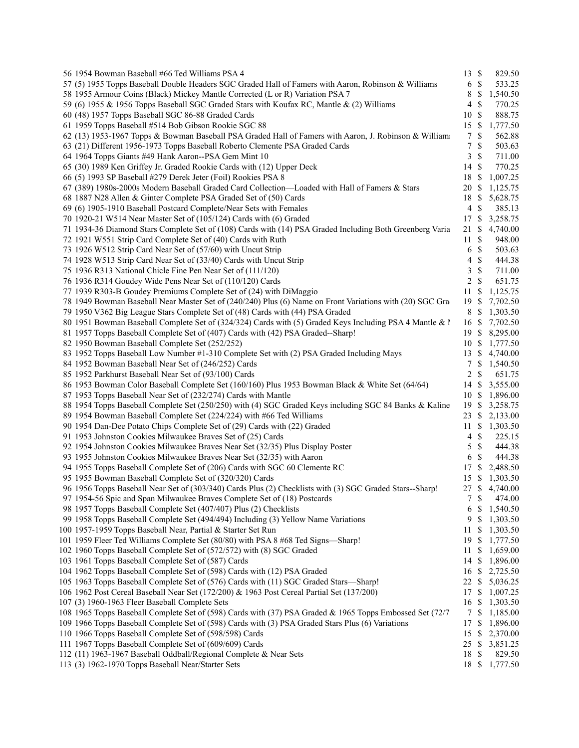| 56 1954 Bowman Baseball #66 Ted Williams PSA 4                                                            | 13             | $\mathcal{S}$             | 829.50         |
|-----------------------------------------------------------------------------------------------------------|----------------|---------------------------|----------------|
| 57 (5) 1955 Topps Baseball Double Headers SGC Graded Hall of Famers with Aaron, Robinson & Williams       | 6              | $\mathcal{S}$             | 533.25         |
| 58 1955 Armour Coins (Black) Mickey Mantle Corrected (L or R) Variation PSA 7                             | 8              | \$                        | 1,540.50       |
| 59 (6) 1955 & 1956 Topps Baseball SGC Graded Stars with Koufax RC, Mantle & (2) Williams                  | 4              | \$                        | 770.25         |
| 60 (48) 1957 Topps Baseball SGC 86-88 Graded Cards                                                        | 10             | $\mathbb{S}$              | 888.75         |
| 61 1959 Topps Baseball #514 Bob Gibson Rookie SGC 88                                                      | 15             | -S                        | 1,777.50       |
| 62 (13) 1953-1967 Topps & Bowman Baseball PSA Graded Hall of Famers with Aaron, J. Robinson & Williams    | $\tau$         | \$                        | 562.88         |
| 63 (21) Different 1956-1973 Topps Baseball Roberto Clemente PSA Graded Cards                              | 7              | \$                        | 503.63         |
| 64 1964 Topps Giants #49 Hank Aaron--PSA Gem Mint 10                                                      | 3              | $\mathbb{S}$              | 711.00         |
| 65 (30) 1989 Ken Griffey Jr. Graded Rookie Cards with (12) Upper Deck                                     | 14             | $\mathbf{\$}$             | 770.25         |
| 66 (5) 1993 SP Baseball #279 Derek Jeter (Foil) Rookies PSA 8                                             | 18             | $\boldsymbol{\mathsf{S}}$ | 1,007.25       |
| 67 (389) 1980s-2000s Modern Baseball Graded Card Collection—Loaded with Hall of Famers & Stars            | 20             | -S                        | 1,125.75       |
| 68 1887 N28 Allen & Ginter Complete PSA Graded Set of (50) Cards                                          | 18             | \$                        | 5,628.75       |
| 69 (6) 1905-1910 Baseball Postcard Complete/Near Sets with Females                                        | $\overline{4}$ | $\mathcal{S}$             | 385.13         |
| 70 1920-21 W514 Near Master Set of (105/124) Cards with (6) Graded                                        | 17             | -S                        | 3,258.75       |
|                                                                                                           |                |                           |                |
| 71 1934-36 Diamond Stars Complete Set of (108) Cards with (14) PSA Graded Including Both Greenberg Varia  | 21             | S                         | 4,740.00       |
| 72 1921 W551 Strip Card Complete Set of (40) Cards with Ruth                                              | 11             | \$                        | 948.00         |
| 73 1926 W512 Strip Card Near Set of (57/60) with Uncut Strip                                              | 6              | $\mathbb{S}$              | 503.63         |
| 74 1928 W513 Strip Card Near Set of (33/40) Cards with Uncut Strip                                        | 4              | $\mathbb{S}$              | 444.38         |
| 75 1936 R313 National Chicle Fine Pen Near Set of (111/120)                                               | 3              | $\mathbb{S}$              | 711.00         |
| 76 1936 R314 Goudey Wide Pens Near Set of (110/120) Cards                                                 | 2              | \$                        | 651.75         |
| 77 1939 R303-B Goudey Premiums Complete Set of (24) with DiMaggio                                         | 11             | S                         | 1,125.75       |
| 78 1949 Bowman Baseball Near Master Set of (240/240) Plus (6) Name on Front Variations with (20) SGC Gra  | 19             | - \$                      | 7,702.50       |
| 79 1950 V362 Big League Stars Complete Set of (48) Cards with (44) PSA Graded                             | 8              | -S                        | 1,303.50       |
| 80 1951 Bowman Baseball Complete Set of (324/324) Cards with (5) Graded Keys Including PSA 4 Mantle & N   | 16 \$          |                           | 7,702.50       |
| 81 1957 Topps Baseball Complete Set of (407) Cards with (42) PSA Graded--Sharp!                           | 19S            |                           | 8,295.00       |
| 82 1950 Bowman Baseball Complete Set (252/252)                                                            | 10             | -S                        | 1,777.50       |
| 83 1952 Topps Baseball Low Number #1-310 Complete Set with (2) PSA Graded Including Mays                  | 13             | S                         | 4,740.00       |
| 84 1952 Bowman Baseball Near Set of (246/252) Cards                                                       | 7              | \$                        | 1,540.50       |
| 85 1952 Parkhurst Baseball Near Set of (93/100) Cards                                                     | 2              | $\mathbb{S}$              | 651.75         |
| 86 1953 Bowman Color Baseball Complete Set (160/160) Plus 1953 Bowman Black & White Set (64/64)           | 14             | -\$                       | 3,555.00       |
| 87 1953 Topps Baseball Near Set of (232/274) Cards with Mantle                                            | 10 \$          |                           | 1,896.00       |
| 88 1954 Topps Baseball Complete Set (250/250) with (4) SGC Graded Keys including SGC 84 Banks & Kaline    | 19             | -S                        | 3,258.75       |
| 89 1954 Bowman Baseball Complete Set (224/224) with #66 Ted Williams                                      | 23             | -S                        | 2,133.00       |
| 90 1954 Dan-Dee Potato Chips Complete Set of (29) Cards with (22) Graded                                  | 11             | -S                        | 1,303.50       |
| 91 1953 Johnston Cookies Milwaukee Braves Set of (25) Cards                                               | $\overline{4}$ | $\mathbb{S}$              | 225.15         |
| 92 1954 Johnston Cookies Milwaukee Braves Near Set (32/35) Plus Display Poster                            | 5              | $\mathcal{S}$             | 444.38         |
| 93 1955 Johnston Cookies Milwaukee Braves Near Set (32/35) with Aaron                                     | 6              | $\mathcal{S}$             | 444.38         |
| 94 1955 Topps Baseball Complete Set of (206) Cards with SGC 60 Clemente RC                                | 17             | $\boldsymbol{\mathsf{S}}$ | 2,488.50       |
| 95 1955 Bowman Baseball Complete Set of (320/320) Cards                                                   | 15             | -S                        | 1,303.50       |
| 96 1956 Topps Baseball Near Set of (303/340) Cards Plus (2) Checklists with (3) SGC Graded Stars--Sharp!  | 27 \$          |                           | 4,740.00       |
| 97 1954-56 Spic and Span Milwaukee Braves Complete Set of (18) Postcards                                  |                | 7S                        | 474.00         |
| 98 1957 Topps Baseball Complete Set (407/407) Plus (2) Checklists                                         |                |                           |                |
|                                                                                                           | 6              | -S                        | 1,540.50       |
| 99 1958 Topps Baseball Complete Set (494/494) Including (3) Yellow Name Variations                        | 9              | -S                        | 1,303.50       |
| 100 1957-1959 Topps Baseball Near, Partial & Starter Set Run                                              | 11             | \$                        | 1,303.50       |
| 101 1959 Fleer Ted Williams Complete Set (80/80) with PSA 8 #68 Ted Signs-Sharp!                          | 19             | -S                        | 1,777.50       |
| 102 1960 Topps Baseball Complete Set of (572/572) with (8) SGC Graded                                     | 11 \$          |                           | 1,659.00       |
| 103 1961 Topps Baseball Complete Set of (587) Cards                                                       | 14S            |                           | 1,896.00       |
| 104 1962 Topps Baseball Complete Set of (598) Cards with (12) PSA Graded                                  |                |                           | 16 \$ 2,725.50 |
| 105 1963 Topps Baseball Complete Set of (576) Cards with (11) SGC Graded Stars—Sharp!                     | 22 \$          |                           | 5,036.25       |
| 106 1962 Post Cereal Baseball Near Set (172/200) & 1963 Post Cereal Partial Set (137/200)                 | 17             | -S                        | 1,007.25       |
| 107 (3) 1960-1963 Fleer Baseball Complete Sets                                                            | 16             | -S                        | 1,303.50       |
| 108 1965 Topps Baseball Complete Set of (598) Cards with (37) PSA Graded & 1965 Topps Embossed Set (72/7. | 7\$            |                           | 1,185.00       |
| 109 1966 Topps Baseball Complete Set of (598) Cards with (3) PSA Graded Stars Plus (6) Variations         | 17 \$          |                           | 1,896.00       |
| 110 1966 Topps Baseball Complete Set of (598/598) Cards                                                   | 15 \$          |                           | 2,370.00       |
| 111 1967 Topps Baseball Complete Set of (609/609) Cards                                                   | 25 \$          |                           | 3,851.25       |
| 112 (11) 1963-1967 Baseball Oddball/Regional Complete & Near Sets                                         | 18             | -S                        | 829.50         |
| 113 (3) 1962-1970 Topps Baseball Near/Starter Sets                                                        |                |                           | 18 \$ 1,777.50 |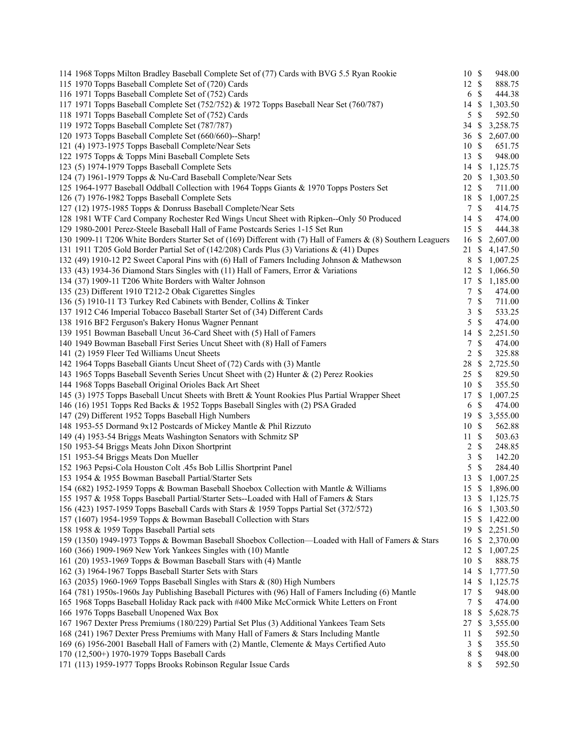| 114 1968 Topps Milton Bradley Baseball Complete Set of (77) Cards with BVG 5.5 Ryan Rookie                                                                                                        | 10 \$            |                    | 948.00             |
|---------------------------------------------------------------------------------------------------------------------------------------------------------------------------------------------------|------------------|--------------------|--------------------|
| 115 1970 Topps Baseball Complete Set of (720) Cards                                                                                                                                               | 12S              |                    | 888.75             |
| 116 1971 Topps Baseball Complete Set of (752) Cards                                                                                                                                               | 6                | $\mathbb{S}$       | 444.38             |
| 117 1971 Topps Baseball Complete Set (752/752) & 1972 Topps Baseball Near Set (760/787)                                                                                                           | 14               | \$                 | 1,303.50           |
| 118 1971 Topps Baseball Complete Set of (752) Cards                                                                                                                                               | 5                | $\mathbb{S}$       | 592.50             |
| 119 1972 Topps Baseball Complete Set (787/787)                                                                                                                                                    | $34 \text{ }$ \$ |                    | 3,258.75           |
| 120 1973 Topps Baseball Complete Set (660/660)--Sharp!                                                                                                                                            | 36S              |                    | 2,607.00           |
| 121 (4) 1973-1975 Topps Baseball Complete/Near Sets                                                                                                                                               | 10S              |                    | 651.75             |
| 122 1975 Topps & Topps Mini Baseball Complete Sets                                                                                                                                                | 13S              |                    | 948.00             |
| 123 (5) 1974-1979 Topps Baseball Complete Sets                                                                                                                                                    | 14S              |                    | 1,125.75           |
| 124 (7) 1961-1979 Topps & Nu-Card Baseball Complete/Near Sets                                                                                                                                     | 20               | -S                 | 1,303.50           |
| 125 1964-1977 Baseball Oddball Collection with 1964 Topps Giants & 1970 Topps Posters Set                                                                                                         | 12S              |                    | 711.00             |
| 126 (7) 1976-1982 Topps Baseball Complete Sets                                                                                                                                                    | 18 \$            |                    | 1,007.25           |
| 127 (12) 1975-1985 Topps & Donruss Baseball Complete/Near Sets                                                                                                                                    |                  | 7S                 | 414.75             |
| 128 1981 WTF Card Company Rochester Red Wings Uncut Sheet with Ripken--Only 50 Produced                                                                                                           | 14 \$            |                    | 474.00             |
| 129 1980-2001 Perez-Steele Baseball Hall of Fame Postcards Series 1-15 Set Run                                                                                                                    | 15S              |                    | 444.38             |
| 130 1909-11 T206 White Borders Starter Set of (169) Different with (7) Hall of Famers & (8) Southern Leaguers                                                                                     | 16               | \$                 | 2,607.00           |
| 131 1911 T205 Gold Border Partial Set of (142/208) Cards Plus (3) Variations & (41) Dupes                                                                                                         | 21               | -S                 | 4,147.50           |
| 132 (49) 1910-12 P2 Sweet Caporal Pins with (6) Hall of Famers Including Johnson & Mathewson                                                                                                      | 8                | -\$                | 1,007.25           |
| 133 (43) 1934-36 Diamond Stars Singles with (11) Hall of Famers, Error & Variations                                                                                                               | 12S              |                    | 1,066.50           |
| 134 (37) 1909-11 T206 White Borders with Walter Johnson                                                                                                                                           | 17 \$            |                    | 1,185.00           |
| 135 (23) Different 1910 T212-2 Obak Cigarettes Singles                                                                                                                                            | $\tau$           | $\mathbb{S}$       | 474.00             |
| 136 (5) 1910-11 T3 Turkey Red Cabinets with Bender, Collins & Tinker                                                                                                                              | $\tau$           | $\mathbb{S}$       | 711.00             |
| 137 1912 C46 Imperial Tobacco Baseball Starter Set of (34) Different Cards                                                                                                                        | 3                | $\mathbb{S}$       | 533.25             |
| 138 1916 BF2 Ferguson's Bakery Honus Wagner Pennant                                                                                                                                               | 5                | $\mathbf{\hat{s}}$ | 474.00             |
| 139 1951 Bowman Baseball Uncut 36-Card Sheet with (5) Hall of Famers                                                                                                                              | 14               | \$                 | 2,251.50           |
| 140 1949 Bowman Baseball First Series Uncut Sheet with (8) Hall of Famers                                                                                                                         | $\tau$           | $\mathbb{S}$       | 474.00             |
| 141 (2) 1959 Fleer Ted Williams Uncut Sheets                                                                                                                                                      | 2                | $\mathbb{S}$       | 325.88             |
| 142 1964 Topps Baseball Giants Uncut Sheet of (72) Cards with (3) Mantle                                                                                                                          | 28               | $\mathbb{S}$       | 2,725.50           |
| 143 1965 Topps Baseball Seventh Series Uncut Sheet with (2) Hunter & (2) Perez Rookies                                                                                                            | 25 \$            |                    | 829.50             |
| 144 1968 Topps Baseball Original Orioles Back Art Sheet                                                                                                                                           | 10S              |                    | 355.50             |
| 145 (3) 1975 Topps Baseball Uncut Sheets with Brett & Yount Rookies Plus Partial Wrapper Sheet                                                                                                    | 17               | $\mathbb{S}$       | 1,007.25           |
| 146 (16) 1951 Topps Red Backs & 1952 Topps Baseball Singles with (2) PSA Graded                                                                                                                   | 6                | $\mathbb{S}$       | 474.00             |
| 147 (29) Different 1952 Topps Baseball High Numbers                                                                                                                                               | 19               | \$                 | 3,555.00           |
| 148 1953-55 Dormand 9x12 Postcards of Mickey Mantle & Phil Rizzuto                                                                                                                                | 10               | -S                 | 562.88             |
| 149 (4) 1953-54 Briggs Meats Washington Senators with Schmitz SP                                                                                                                                  | 11S              |                    | 503.63             |
| 150 1953-54 Briggs Meats John Dixon Shortprint                                                                                                                                                    | 2                | $\mathcal{S}$      | 248.85             |
| 151 1953-54 Briggs Meats Don Mueller                                                                                                                                                              | 3                | $\mathbb{S}$       | 142.20             |
| 152 1963 Pepsi-Cola Houston Colt .45s Bob Lillis Shortprint Panel                                                                                                                                 | 5                | $\mathcal{S}$      | 284.40             |
| 153 1954 & 1955 Bowman Baseball Partial/Starter Sets                                                                                                                                              | 13               | -S                 | 1,007.25           |
| 154 (682) 1952-1959 Topps & Bowman Baseball Shoebox Collection with Mantle & Williams                                                                                                             | 15S              |                    | 1,896.00           |
| 155 1957 & 1958 Topps Baseball Partial/Starter Sets--Loaded with Hall of Famers & Stars                                                                                                           |                  |                    | 13 \$ 1,125.75     |
| 156 (423) 1957-1959 Topps Baseball Cards with Stars & 1959 Topps Partial Set (372/572)                                                                                                            | 16 \$            |                    | 1,303.50           |
| 157 (1607) 1954-1959 Topps & Bowman Baseball Collection with Stars                                                                                                                                | $15 \text{ }$ \$ |                    | 1,422.00           |
| 158 1958 & 1959 Topps Baseball Partial sets                                                                                                                                                       | 19S              |                    | 2,251.50           |
| 159 (1350) 1949-1973 Topps & Bowman Baseball Shoebox Collection—Loaded with Hall of Famers & Stars                                                                                                | 16               | \$                 | 2,370.00           |
| 160 (366) 1909-1969 New York Yankees Singles with (10) Mantle                                                                                                                                     | 12               | -S                 | 1,007.25           |
| 161 (20) 1953-1969 Topps & Bowman Baseball Stars with (4) Mantle                                                                                                                                  | 10 \$            |                    | 888.75             |
| 162 (3) 1964-1967 Topps Baseball Starter Sets with Stars                                                                                                                                          | 14 \$<br>14S     |                    | 1,777.50           |
| 163 (2035) 1960-1969 Topps Baseball Singles with Stars & (80) High Numbers                                                                                                                        |                  |                    | 1,125.75           |
| 164 (781) 1950s-1960s Jay Publishing Baseball Pictures with (96) Hall of Famers Including (6) Mantle<br>165 1968 Topps Baseball Holiday Rack pack with #400 Mike McCormick White Letters on Front | 17<br>7          | \$<br>\$           | 948.00             |
| 166 1976 Topps Baseball Unopened Wax Box                                                                                                                                                          | 18               | \$                 | 474.00<br>5,628.75 |
| 167 1967 Dexter Press Premiums (180/229) Partial Set Plus (3) Additional Yankees Team Sets                                                                                                        | 27               | S                  | 3,555.00           |
| 168 (241) 1967 Dexter Press Premiums with Many Hall of Famers & Stars Including Mantle                                                                                                            | 11               | \$                 | 592.50             |
| 169 (6) 1956-2001 Baseball Hall of Famers with (2) Mantle, Clemente & Mays Certified Auto                                                                                                         | 3                | $\mathbb{S}$       | 355.50             |
| 170 (12,500+) 1970-1979 Topps Baseball Cards                                                                                                                                                      | 8                | \$                 | 948.00             |
| 171 (113) 1959-1977 Topps Brooks Robinson Regular Issue Cards                                                                                                                                     | 8 \$             |                    | 592.50             |
|                                                                                                                                                                                                   |                  |                    |                    |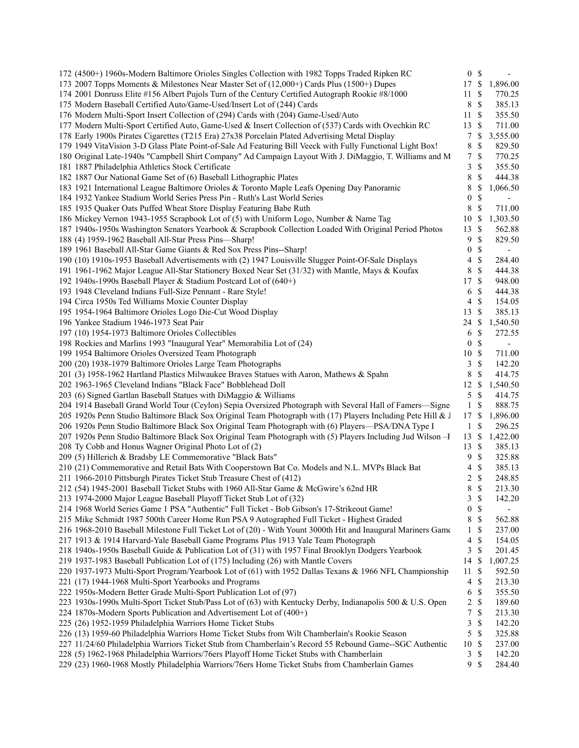| 172 (4500+) 1960s-Modern Baltimore Orioles Singles Collection with 1982 Topps Traded Ripken RC               | 0 <sup>5</sup>   |                           | $\sim$                   |  |
|--------------------------------------------------------------------------------------------------------------|------------------|---------------------------|--------------------------|--|
| 173 2007 Topps Moments & Milestones Near Master Set of (12,000+) Cards Plus (1500+) Dupes                    |                  |                           | 17 \$ 1,896.00           |  |
| 174 2001 Donruss Elite #156 Albert Pujols Turn of the Century Certified Autograph Rookie #8/1000             | 11 \$            |                           | 770.25                   |  |
| 175 Modern Baseball Certified Auto/Game-Used/Insert Lot of (244) Cards                                       | 8 \$             |                           | 385.13                   |  |
| 176 Modern Multi-Sport Insert Collection of (294) Cards with (204) Game-Used/Auto                            | 11S              |                           | 355.50                   |  |
| 177 Modern Multi-Sport Certified Auto, Game-Used & Insert Collection of (537) Cards with Ovechkin RC         | 13 \$            |                           | 711.00                   |  |
| 178 Early 1900s Pirates Cigarettes (T215 Era) 27x38 Porcelain Plated Advertising Metal Display               | 7S               |                           | 3,555.00                 |  |
| 179 1949 VitaVision 3-D Glass Plate Point-of-Sale Ad Featuring Bill Veeck with Fully Functional Light Box!   | 8                | $\mathbf{\hat{s}}$        | 829.50                   |  |
| 180 Original Late-1940s "Campbell Shirt Company" Ad Campaign Layout With J. DiMaggio, T. Williams and M      | 7S               |                           | 770.25                   |  |
| 181 1887 Philadelphia Athletics Stock Certificate                                                            | 3S               |                           | 355.50                   |  |
| 182 1887 Our National Game Set of (6) Baseball Lithographic Plates                                           | 8 \$             |                           | 444.38                   |  |
| 183 1921 International League Baltimore Orioles & Toronto Maple Leafs Opening Day Panoramic                  | 8                | - \$                      | 1,066.50                 |  |
| 184 1932 Yankee Stadium World Series Press Pin - Ruth's Last World Series                                    | $\overline{0}$   | $\mathbb{S}$              | $\sim$                   |  |
| 185 1935 Quaker Oats Puffed Wheat Store Display Featuring Babe Ruth                                          | $8\,$            | $\mathbb{S}$              | 711.00                   |  |
| 186 Mickey Vernon 1943-1955 Scrapbook Lot of (5) with Uniform Logo, Number & Name Tag                        | 10S              |                           | 1,303.50                 |  |
| 187 1940s-1950s Washington Senators Yearbook & Scrapbook Collection Loaded With Original Period Photos       | 13 \$            |                           | 562.88                   |  |
| 188 (4) 1959-1962 Baseball All-Star Press Pins-Sharp!                                                        | 9S               |                           | 829.50                   |  |
| 189 1961 Baseball All-Star Game Giants & Red Sox Press Pins--Sharp!                                          | 0 S              |                           | $\blacksquare$           |  |
|                                                                                                              | $4 \text{ } $$   |                           |                          |  |
| 190 (10) 1910s-1953 Baseball Advertisements with (2) 1947 Louisville Slugger Point-Of-Sale Displays          | 8 \$             |                           | 284.40<br>444.38         |  |
| 191 1961-1962 Major League All-Star Stationery Boxed Near Set (31/32) with Mantle, Mays & Koufax             |                  |                           |                          |  |
| 192 1940s-1990s Baseball Player & Stadium Postcard Lot of (640+)                                             | 17S              |                           | 948.00                   |  |
| 193 1948 Cleveland Indians Full-Size Pennant - Rare Style!                                                   | 6 <sup>°</sup>   |                           | 444.38                   |  |
| 194 Circa 1950s Ted Williams Moxie Counter Display                                                           | $4 \text{ } $$   |                           | 154.05                   |  |
| 195 1954-1964 Baltimore Orioles Logo Die-Cut Wood Display                                                    | $13 \text{ }$ \$ |                           | 385.13                   |  |
| 196 Yankee Stadium 1946-1973 Seat Pair                                                                       | 24 \$            |                           | 1,540.50                 |  |
| 197 (10) 1954-1973 Baltimore Orioles Collectibles                                                            | 6 <sup>°</sup>   |                           | 272.55                   |  |
| 198 Rockies and Marlins 1993 "Inaugural Year" Memorabilia Lot of (24)                                        | 0 <sup>5</sup>   |                           | $\overline{\phantom{a}}$ |  |
| 199 1954 Baltimore Orioles Oversized Team Photograph                                                         | 10S              |                           | 711.00                   |  |
| 200 (20) 1938-1979 Baltimore Orioles Large Team Photographs                                                  | 3S               |                           | 142.20                   |  |
| 201 (3) 1958-1962 Hartland Plastics Milwaukee Braves Statues with Aaron, Mathews & Spahn                     | 8 \$             |                           | 414.75                   |  |
| 202 1963-1965 Cleveland Indians "Black Face" Bobblehead Doll                                                 | $12 \text{ }$    |                           | 1,540.50                 |  |
| 203 (6) Signed Gartlan Baseball Statues with DiMaggio & Williams                                             | $5 \text{ }$ \$  |                           | 414.75                   |  |
| 204 1914 Baseball Grand World Tour (Ceylon) Sepia Oversized Photograph with Several Hall of Famers—Signe     | $1 \text{ }$     |                           | 888.75                   |  |
| 205 1920s Penn Studio Baltimore Black Sox Original Team Photograph with (17) Players Including Pete Hill & J | 17S              |                           | 1,896.00                 |  |
| 206 1920s Penn Studio Baltimore Black Sox Original Team Photograph with (6) Players-PSA/DNA Type I           | 1 \$             |                           | 296.25                   |  |
| 207 1920s Penn Studio Baltimore Black Sox Original Team Photograph with (5) Players Including Jud Wilson - F | $13 \text{ }$ \$ |                           | 1,422.00                 |  |
| 208 Ty Cobb and Honus Wagner Original Photo Lot of (2)                                                       | $13 \text{ }$ \$ |                           | 385.13                   |  |
| 209 (5) Hillerich & Bradsby LE Commemorative "Black Bats"                                                    | 9                | - \$                      | 325.88                   |  |
| 210 (21) Commemorative and Retail Bats With Cooperstown Bat Co. Models and N.L. MVPs Black Bat               | 4S               |                           | 385.13                   |  |
| 211 1966-2010 Pittsburgh Pirates Ticket Stub Treasure Chest of (412)                                         | $2 \sqrt{s}$     |                           | 248.85                   |  |
| 212 (54) 1945-2001 Baseball Ticket Stubs with 1960 All-Star Game & McGwire's 62nd HR                         | 8                | - \$                      | 213.30                   |  |
| 213 1974-2000 Major League Baseball Playoff Ticket Stub Lot of (32)                                          | 3S               |                           | 142.20                   |  |
| 214 1968 World Series Game 1 PSA "Authentic" Full Ticket - Bob Gibson's 17-Strikeout Game!                   | 0                | \$                        | $\overline{\phantom{a}}$ |  |
| 215 Mike Schmidt 1987 500th Career Home Run PSA 9 Autographed Full Ticket - Highest Graded                   | 8                | $\boldsymbol{\mathsf{S}}$ | 562.88                   |  |
| 216 1968-2010 Baseball Milestone Full Ticket Lot of (20) - With Yount 3000th Hit and Inaugural Mariners Game | $1 \text{ }$ \$  |                           | 237.00                   |  |
| 217 1913 & 1914 Harvard-Yale Baseball Game Programs Plus 1913 Yale Team Photograph                           | 4                | $\boldsymbol{\mathsf{S}}$ | 154.05                   |  |
| 218 1940s-1950s Baseball Guide & Publication Lot of (31) with 1957 Final Brooklyn Dodgers Yearbook           | 3                | $\boldsymbol{\mathsf{S}}$ | 201.45                   |  |
| 219 1937-1983 Baseball Publication Lot of (175) Including (26) with Mantle Covers                            | 14S              |                           | 1,007.25                 |  |
| 220 1937-1973 Multi-Sport Program/Yearbook Lot of (61) with 1952 Dallas Texans & 1966 NFL Championship       | 11S              |                           | 592.50                   |  |
| 221 (17) 1944-1968 Multi-Sport Yearbooks and Programs                                                        | 4S               |                           | 213.30                   |  |
| 222 1950s-Modern Better Grade Multi-Sport Publication Lot of (97)                                            | 6                | \$                        | 355.50                   |  |
| 223 1930s-1990s Multi-Sport Ticket Stub/Pass Lot of (63) with Kentucky Derby, Indianapolis 500 & U.S. Open   | 2 S              |                           | 189.60                   |  |
| 224 1870s-Modern Sports Publication and Advertisement Lot of (400+)                                          | 7                | $\boldsymbol{\mathsf{S}}$ | 213.30                   |  |
| 225 (26) 1952-1959 Philadelphia Warriors Home Ticket Stubs                                                   | 3                | $\mathbb{S}$              | 142.20                   |  |
| 226 (13) 1959-60 Philadelphia Warriors Home Ticket Stubs from Wilt Chamberlain's Rookie Season               | 5                | $\boldsymbol{\mathsf{S}}$ | 325.88                   |  |
|                                                                                                              | 10S              |                           | 237.00                   |  |
| 227 11/24/60 Philadelphia Warriors Ticket Stub from Chamberlain's Record 55 Rebound Game--SGC Authentic      |                  |                           |                          |  |
| 228 (5) 1962-1968 Philadelphia Warriors/76ers Playoff Home Ticket Stubs with Chamberlain                     | 3S               |                           | 142.20                   |  |
| 229 (23) 1960-1968 Mostly Philadelphia Warriors/76ers Home Ticket Stubs from Chamberlain Games               | 9S               |                           | 284.40                   |  |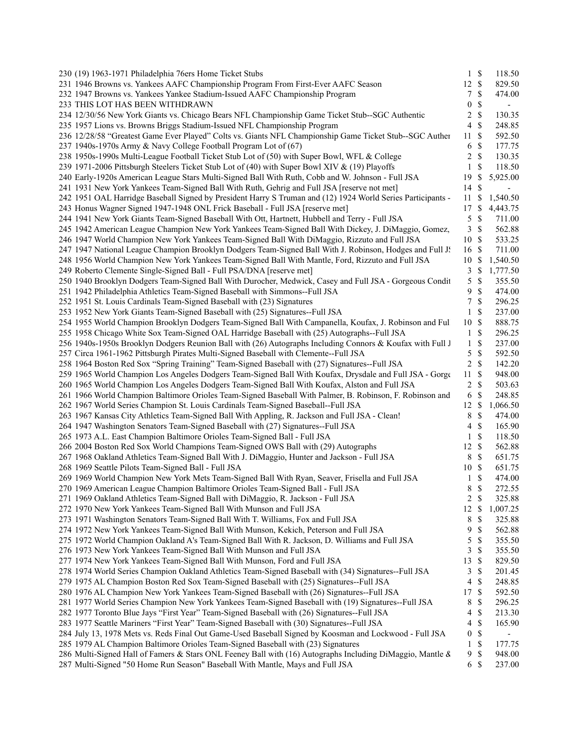| 230 (19) 1963-1971 Philadelphia 76ers Home Ticket Stubs                                                     | $1 \text{ }$ \$                           | 118.50                   |  |
|-------------------------------------------------------------------------------------------------------------|-------------------------------------------|--------------------------|--|
| 231 1946 Browns vs. Yankees AAFC Championship Program From First-Ever AAFC Season                           | 12S                                       | 829.50                   |  |
| 232 1947 Browns vs. Yankees Yankee Stadium-Issued AAFC Championship Program                                 | \$<br>7                                   | 474.00                   |  |
| 233 THIS LOT HAS BEEN WITHDRAWN                                                                             | \$<br>$\boldsymbol{0}$                    | $\overline{\phantom{a}}$ |  |
| 234 12/30/56 New York Giants vs. Chicago Bears NFL Championship Game Ticket Stub--SGC Authentic             | $\mathbb S$<br>2                          | 130.35                   |  |
| 235 1957 Lions vs. Browns Briggs Stadium-Issued NFL Championship Program                                    | $\mathcal{S}$<br>4                        | 248.85                   |  |
| 236 12/28/58 "Greatest Game Ever Played" Colts vs. Giants NFL Championship Game Ticket Stub--SGC Auther     | -\$<br>11                                 | 592.50                   |  |
| 237 1940s-1970s Army & Navy College Football Program Lot of (67)                                            | $\mathcal{S}$<br>6                        | 177.75                   |  |
| 238 1950s-1990s Multi-League Football Ticket Stub Lot of (50) with Super Bowl, WFL & College                | \$<br>2                                   | 130.35                   |  |
| 239 1971-2006 Pittsburgh Steelers Ticket Stub Lot of (40) with Super Bowl XIV & (19) Playoffs               | \$<br>$\mathbf{1}$                        | 118.50                   |  |
| 240 Early-1920s American League Stars Multi-Signed Ball With Ruth, Cobb and W. Johnson - Full JSA           | 19S                                       | 5,925.00                 |  |
| 241 1931 New York Yankees Team-Signed Ball With Ruth, Gehrig and Full JSA [reserve not met]                 | 14S                                       | $\blacksquare$           |  |
| 242 1951 OAL Harridge Baseball Signed by President Harry S Truman and (12) 1924 World Series Participants - | 11S                                       | 1,540.50                 |  |
| 243 Honus Wagner Signed 1947-1948 ONL Frick Baseball - Full JSA [reserve met]                               | 17S                                       | 4,443.75                 |  |
| 244 1941 New York Giants Team-Signed Baseball With Ott, Hartnett, Hubbell and Terry - Full JSA              | $\mathbb{S}$<br>5                         | 711.00                   |  |
| 245 1942 American League Champion New York Yankees Team-Signed Ball With Dickey, J. DiMaggio, Gomez,        | <sup>\$</sup><br>3                        | 562.88                   |  |
|                                                                                                             | 10S                                       |                          |  |
| 246 1947 World Champion New York Yankees Team-Signed Ball With DiMaggio, Rizzuto and Full JSA               |                                           | 533.25                   |  |
| 247 1947 National League Champion Brooklyn Dodgers Team-Signed Ball With J. Robinson, Hodges and Full J.    | 16 \$                                     | 711.00                   |  |
| 248 1956 World Champion New York Yankees Team-Signed Ball With Mantle, Ford, Rizzuto and Full JSA           | 10S                                       | 1,540.50                 |  |
| 249 Roberto Clemente Single-Signed Ball - Full PSA/DNA [reserve met]                                        | 3S                                        | 1,777.50                 |  |
| 250 1940 Brooklyn Dodgers Team-Signed Ball With Durocher, Medwick, Casey and Full JSA - Gorgeous Condit     | $\mathbb{S}$<br>5                         | 355.50                   |  |
| 251 1942 Philadelphia Athletics Team-Signed Baseball with Simmons--Full JSA                                 | $\mathcal{S}$<br>9                        | 474.00                   |  |
| 252 1951 St. Louis Cardinals Team-Signed Baseball with (23) Signatures                                      | $\mathcal{S}$<br>7                        | 296.25                   |  |
| 253 1952 New York Giants Team-Signed Baseball with (25) Signatures--Full JSA                                | \$<br>$\mathbf{1}$                        | 237.00                   |  |
| 254 1955 World Champion Brooklyn Dodgers Team-Signed Ball With Campanella, Koufax, J. Robinson and Ful      | 10S                                       | 888.75                   |  |
| 255 1958 Chicago White Sox Team-Signed OAL Harridge Baseball with (25) Autographs--Full JSA                 | $1 \text{ }$ \$                           | 296.25                   |  |
| 256 1940s-1950s Brooklyn Dodgers Reunion Ball with (26) Autographs Including Connors & Koufax with Full J   | $\mathbb{S}$<br>$\mathbf{1}$              | 237.00                   |  |
| 257 Circa 1961-1962 Pittsburgh Pirates Multi-Signed Baseball with Clemente--Full JSA                        | $\mathbb S$<br>5                          | 592.50                   |  |
| 258 1964 Boston Red Sox "Spring Training" Team-Signed Baseball with (27) Signatures--Full JSA               | $\mathcal{S}$<br>2                        | 142.20                   |  |
| 259 1965 World Champion Los Angeles Dodgers Team-Signed Ball With Koufax, Drysdale and Full JSA - Gorge     | $\mathcal{S}$<br>11                       | 948.00                   |  |
| 260 1965 World Champion Los Angeles Dodgers Team-Signed Ball With Koufax, Alston and Full JSA               | $2 \sqrt{s}$                              | 503.63                   |  |
| 261 1966 World Champion Baltimore Orioles Team-Signed Baseball With Palmer, B. Robinson, F. Robinson and    | $\mathcal{S}$<br>6                        | 248.85                   |  |
| 262 1967 World Series Champion St. Louis Cardinals Team-Signed Baseball--Full JSA                           | $12 \text{ }$ \$                          | 1,066.50                 |  |
| 263 1967 Kansas City Athletics Team-Signed Ball With Appling, R. Jackson and Full JSA - Clean!              | <sup>\$</sup><br>8                        | 474.00                   |  |
| 264 1947 Washington Senators Team-Signed Baseball with (27) Signatures--Full JSA                            | $\mathbb S$<br>4                          | 165.90                   |  |
| 265 1973 A.L. East Champion Baltimore Orioles Team-Signed Ball - Full JSA                                   | $\boldsymbol{\mathsf{S}}$<br>$\mathbf{1}$ | 118.50                   |  |
| 266 2004 Boston Red Sox World Champions Team-Signed OWS Ball with (29) Autographs                           | 12 \$                                     | 562.88                   |  |
| 267 1968 Oakland Athletics Team-Signed Ball With J. DiMaggio, Hunter and Jackson - Full JSA                 | $\mathcal{S}$<br>$8\,$                    | 651.75                   |  |
| 268 1969 Seattle Pilots Team-Signed Ball - Full JSA                                                         | 10S                                       | 651.75                   |  |
| 269 1969 World Champion New York Mets Team-Signed Ball With Ryan, Seaver, Frisella and Full JSA             | \$<br>1                                   | 474.00                   |  |
| 270 1969 American League Champion Baltimore Orioles Team-Signed Ball - Full JSA                             | $\mathcal{S}$<br>8                        | 272.55                   |  |
| 271 1969 Oakland Athletics Team-Signed Ball with DiMaggio, R. Jackson - Full JSA                            | 2 S                                       | 325.88                   |  |
| 272 1970 New York Yankees Team-Signed Ball With Munson and Full JSA                                         | $\mathbb{S}$<br>12                        | 1,007.25                 |  |
| 273 1971 Washington Senators Team-Signed Ball With T. Williams, Fox and Full JSA                            | \$<br>8                                   | 325.88                   |  |
| 274 1972 New York Yankees Team-Signed Ball With Munson, Kekich, Peterson and Full JSA                       | \$<br>9                                   | 562.88                   |  |
| 275 1972 World Champion Oakland A's Team-Signed Ball With R. Jackson, D. Williams and Full JSA              | \$<br>5                                   | 355.50                   |  |
| 276 1973 New York Yankees Team-Signed Ball With Munson and Full JSA                                         | \$<br>3                                   | 355.50                   |  |
| 277 1974 New York Yankees Team-Signed Ball With Munson, Ford and Full JSA                                   | <sup>\$</sup><br>13                       | 829.50                   |  |
| 278 1974 World Series Champion Oakland Athletics Team-Signed Baseball with (34) Signatures--Full JSA        | \$<br>3                                   | 201.45                   |  |
| 279 1975 AL Champion Boston Red Sox Team-Signed Baseball with (25) Signatures--Full JSA                     | \$<br>4                                   | 248.85                   |  |
| 280 1976 AL Champion New York Yankees Team-Signed Baseball with (26) Signatures--Full JSA                   | $\mathcal{S}$<br>17                       | 592.50                   |  |
| 281 1977 World Series Champion New York Yankees Team-Signed Baseball with (19) Signatures--Full JSA         | \$<br>8                                   | 296.25                   |  |
| 282 1977 Toronto Blue Jays "First Year" Team-Signed Baseball with (26) Signatures--Full JSA                 | \$<br>4                                   | 213.30                   |  |
| 283 1977 Seattle Mariners "First Year" Team-Signed Baseball with (30) Signatures--Full JSA                  | \$<br>4                                   | 165.90                   |  |
| 284 July 13, 1978 Mets vs. Reds Final Out Game-Used Baseball Signed by Koosman and Lockwood - Full JSA      | $\mathbb{S}$<br>$\boldsymbol{0}$          | $\overline{\phantom{0}}$ |  |
| 285 1979 AL Champion Baltimore Orioles Team-Signed Baseball with (23) Signatures                            | \$<br>1                                   | 177.75                   |  |
| 286 Multi-Signed Hall of Famers & Stars ONL Feeney Ball with (16) Autographs Including DiMaggio, Mantle &   | $\mathbb{S}$<br>9                         | 948.00                   |  |
| 287 Multi-Signed "50 Home Run Season" Baseball With Mantle, Mays and Full JSA                               | $\mathcal{S}$<br>6                        | 237.00                   |  |
|                                                                                                             |                                           |                          |  |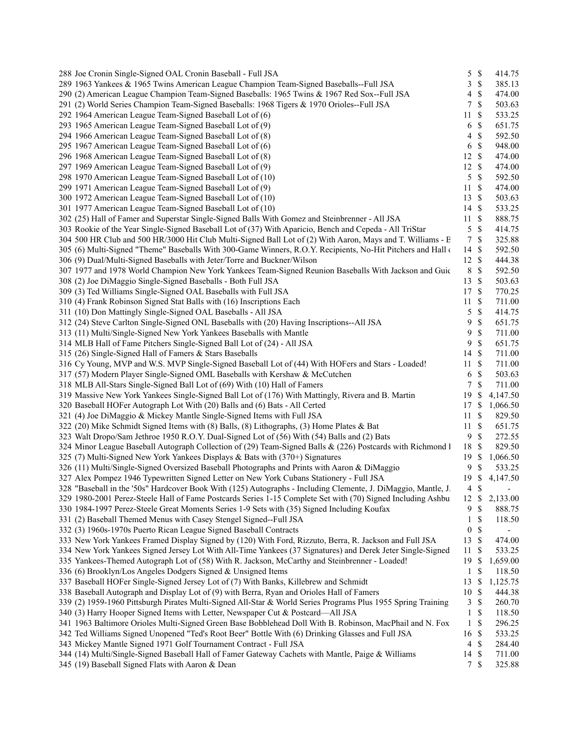| 288 Joe Cronin Single-Signed OAL Cronin Baseball - Full JSA                                                   | 5S               |                           | 414.75                   |  |
|---------------------------------------------------------------------------------------------------------------|------------------|---------------------------|--------------------------|--|
| 289 1963 Yankees & 1965 Twins American League Champion Team-Signed Baseballs--Full JSA                        | $\mathbf{3}$     | $\mathbf{\$}$             | 385.13                   |  |
| 290 (2) American League Champion Team-Signed Baseballs: 1965 Twins & 1967 Red Sox--Full JSA                   | $\overline{4}$   | $\boldsymbol{\mathsf{S}}$ | 474.00                   |  |
| 291 (2) World Series Champion Team-Signed Baseballs: 1968 Tigers & 1970 Orioles--Full JSA                     | 7                | $\mathbb{S}$              | 503.63                   |  |
| 292 1964 American League Team-Signed Baseball Lot of (6)                                                      | 11               | -S                        | 533.25                   |  |
| 293 1965 American League Team-Signed Baseball Lot of (9)                                                      | 6 <sup>°</sup>   |                           | 651.75                   |  |
| 294 1966 American League Team-Signed Baseball Lot of (8)                                                      | 4                | $\mathbf{\$}$             | 592.50                   |  |
| 295 1967 American League Team-Signed Baseball Lot of (6)                                                      | 6                | $\mathbb{S}$              | 948.00                   |  |
| 296 1968 American League Team-Signed Baseball Lot of (8)                                                      | 12 \$            |                           | 474.00                   |  |
| 297 1969 American League Team-Signed Baseball Lot of (9)                                                      | $12 \text{ }$ \$ |                           | 474.00                   |  |
| 298 1970 American League Team-Signed Baseball Lot of (10)                                                     | 5 <sup>5</sup>   | $\mathcal{S}$             | 592.50                   |  |
| 299 1971 American League Team-Signed Baseball Lot of (9)                                                      | 11               | $\mathbf{\$}$             | 474.00                   |  |
| 300 1972 American League Team-Signed Baseball Lot of (10)                                                     | 13 \$            |                           | 503.63                   |  |
| 301 1977 American League Team-Signed Baseball Lot of (10)                                                     | 14S              |                           | 533.25                   |  |
| 302 (25) Hall of Famer and Superstar Single-Signed Balls With Gomez and Steinbrenner - All JSA                | 11S              |                           | 888.75                   |  |
| 303 Rookie of the Year Single-Signed Baseball Lot of (37) With Aparicio, Bench and Cepeda - All TriStar       | 5S               |                           | 414.75                   |  |
| 304 500 HR Club and 500 HR/3000 Hit Club Multi-Signed Ball Lot of (2) With Aaron, Mays and T. Williams - E    | 7S               |                           | 325.88                   |  |
| 305 (6) Multi-Signed "Theme" Baseballs With 300-Game Winners, R.O.Y. Recipients, No-Hit Pitchers and Hall of  | 14 \$            |                           | 592.50                   |  |
| 306 (9) Dual/Multi-Signed Baseballs with Jeter/Torre and Buckner/Wilson                                       | $12 \text{ }$ \$ |                           |                          |  |
|                                                                                                               |                  |                           | 444.38                   |  |
| 307 1977 and 1978 World Champion New York Yankees Team-Signed Reunion Baseballs With Jackson and Guic         | 8 \$             |                           | 592.50                   |  |
| 308 (2) Joe DiMaggio Single-Signed Baseballs - Both Full JSA                                                  | 13 \$            |                           | 503.63                   |  |
| 309 (3) Ted Williams Single-Signed OAL Baseballs with Full JSA                                                | 17 \$            |                           | 770.25                   |  |
| 310 (4) Frank Robinson Signed Stat Balls with (16) Inscriptions Each                                          | $11 \text{ }$ \$ |                           | 711.00                   |  |
| 311 (10) Don Mattingly Single-Signed OAL Baseballs - All JSA                                                  | 5 <sup>5</sup>   | $\mathcal{S}$             | 414.75                   |  |
| 312 (24) Steve Carlton Single-Signed ONL Baseballs with (20) Having Inscriptions--All JSA                     | 9                | $\mathbb{S}$              | 651.75                   |  |
| 313 (11) Multi/Single-Signed New York Yankees Baseballs with Mantle                                           | 9                | $\mathbb{S}$              | 711.00                   |  |
| 314 MLB Hall of Fame Pitchers Single-Signed Ball Lot of (24) - All JSA                                        | 9                | $\mathbb{S}$              | 651.75                   |  |
| 315 (26) Single-Signed Hall of Famers & Stars Baseballs                                                       | 14S              |                           | 711.00                   |  |
| 316 Cy Young, MVP and W.S. MVP Single-Signed Baseball Lot of (44) With HOFers and Stars - Loaded!             | 11S              |                           | 711.00                   |  |
| 317 (57) Modern Player Single-Signed OML Baseballs with Kershaw & McCutchen                                   | 6 \$             |                           | 503.63                   |  |
| 318 MLB All-Stars Single-Signed Ball Lot of (69) With (10) Hall of Famers                                     | $\tau$           | $\mathbb{S}$              | 711.00                   |  |
| 319 Massive New York Yankees Single-Signed Ball Lot of (176) With Mattingly, Rivera and B. Martin             | 19               | $\mathbb{S}$              | 4,147.50                 |  |
| 320 Baseball HOFer Autograph Lot With (20) Balls and (6) Bats - All Certed                                    | 17S              |                           | 1,066.50                 |  |
| 321 (4) Joe DiMaggio & Mickey Mantle Single-Signed Items with Full JSA                                        | 11               | $\mathbb{S}$              | 829.50                   |  |
| 322 (20) Mike Schmidt Signed Items with (8) Balls, (8) Lithographs, (3) Home Plates & Bat                     | 11S              |                           | 651.75                   |  |
| 323 Walt Dropo/Sam Jethroe 1950 R.O.Y. Dual-Signed Lot of (56) With (54) Balls and (2) Bats                   | 9S               |                           | 272.55                   |  |
| 324 Minor League Baseball Autograph Collection of (29) Team-Signed Balls & (226) Postcards with Richmond I    | 18 \$            |                           | 829.50                   |  |
| 325 (7) Multi-Signed New York Yankees Displays & Bats with (370+) Signatures                                  | 19S              |                           | 1,066.50                 |  |
| 326 (11) Multi/Single-Signed Oversized Baseball Photographs and Prints with Aaron & DiMaggio                  | 9                | -S                        | 533.25                   |  |
| 327 Alex Pompez 1946 Typewritten Signed Letter on New York Cubans Stationery - Full JSA                       |                  |                           | 19 \$ 4,147.50           |  |
| 328 "Baseball in the '50s" Hardcover Book With (125) Autographs - Including Clemente, J. DiMaggio, Mantle, J. | $4 \text{ }$ \$  |                           |                          |  |
| 329 1980-2001 Perez-Steele Hall of Fame Postcards Series 1-15 Complete Set with (70) Signed Including Ashbu   | 12S              |                           | 2,133.00                 |  |
| 330 1984-1997 Perez-Steele Great Moments Series 1-9 Sets with (35) Signed Including Koufax                    | 9                | -S                        | 888.75                   |  |
| 331 (2) Baseball Themed Menus with Casey Stengel Signed--Full JSA                                             | 1                | $\boldsymbol{\mathsf{S}}$ | 118.50                   |  |
| 332 (3) 1960s-1970s Puerto Rican League Signed Baseball Contracts                                             | $\boldsymbol{0}$ | $\boldsymbol{\mathsf{S}}$ | $\overline{\phantom{a}}$ |  |
| 333 New York Yankees Framed Display Signed by (120) With Ford, Rizzuto, Berra, R. Jackson and Full JSA        | 13               | -\$                       | 474.00                   |  |
| 334 New York Yankees Signed Jersey Lot With All-Time Yankees (37 Signatures) and Derek Jeter Single-Signed    | 11               | $\boldsymbol{\mathsf{S}}$ | 533.25                   |  |
| 335 Yankees-Themed Autograph Lot of (58) With R. Jackson, McCarthy and Steinbrenner - Loaded!                 | 19S              |                           | 1,659.00                 |  |
| 336 (6) Brooklyn/Los Angeles Dodgers Signed & Unsigned Items                                                  | -1               | $\mathbb{S}$              | 118.50                   |  |
| 337 Baseball HOFer Single-Signed Jersey Lot of (7) With Banks, Killebrew and Schmidt                          |                  |                           |                          |  |
|                                                                                                               | $13 \text{ }$ \$ |                           | 1,125.75                 |  |
| 338 Baseball Autograph and Display Lot of (9) with Berra, Ryan and Orioles Hall of Famers                     | 10S              |                           | 444.38                   |  |
| 339 (2) 1959-1960 Pittsburgh Pirates Multi-Signed All-Star & World Series Programs Plus 1955 Spring Training  | 3                | $\boldsymbol{\mathsf{S}}$ | 260.70                   |  |
| 340 (3) Harry Hooper Signed Items with Letter, Newspaper Cut & Postcard-All JSA                               | 1                | $\boldsymbol{\mathsf{S}}$ | 118.50                   |  |
| 341 1963 Baltimore Orioles Multi-Signed Green Base Bobblehead Doll With B. Robinson, MacPhail and N. Fox      | 1                | $\mathbb{S}$              | 296.25                   |  |
| 342 Ted Williams Signed Unopened "Ted's Root Beer" Bottle With (6) Drinking Glasses and Full JSA              | 16               | -S                        | 533.25                   |  |
| 343 Mickey Mantle Signed 1971 Golf Tournament Contract - Full JSA                                             | 4                | $\mathcal{S}$             | 284.40                   |  |
| 344 (14) Multi/Single-Signed Baseball Hall of Famer Gateway Cachets with Mantle, Paige & Williams             | 14 \$            |                           | 711.00                   |  |
| 345 (19) Baseball Signed Flats with Aaron & Dean                                                              | 7S               |                           | 325.88                   |  |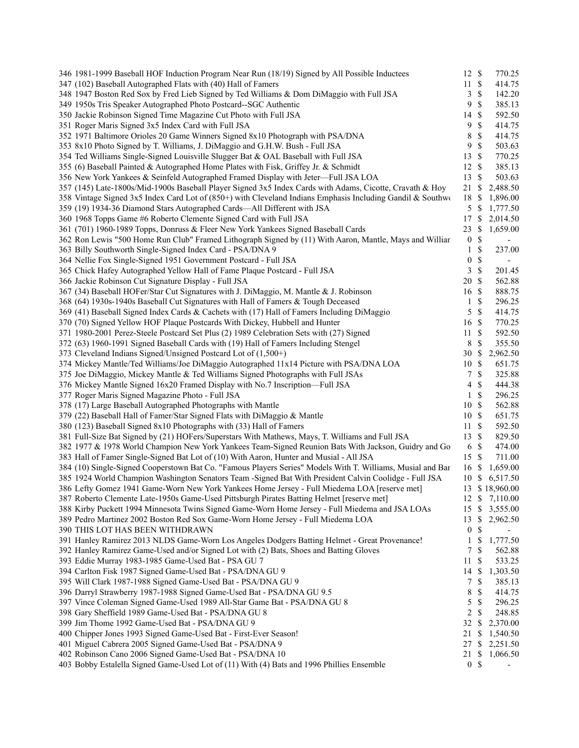| 346 1981-1999 Baseball HOF Induction Program Near Run (18/19) Signed by All Possible Inductees             | 12 \$            |                           | 770.25                   |
|------------------------------------------------------------------------------------------------------------|------------------|---------------------------|--------------------------|
| 347 (102) Baseball Autographed Flats with (40) Hall of Famers                                              | 11S              |                           | 414.75                   |
| 348 1947 Boston Red Sox by Fred Lieb Signed by Ted Williams & Dom DiMaggio with Full JSA                   | 3                | $\mathbb{S}$              | 142.20                   |
| 349 1950s Tris Speaker Autographed Photo Postcard--SGC Authentic                                           | 9                | \$                        | 385.13                   |
| 350 Jackie Robinson Signed Time Magazine Cut Photo with Full JSA                                           | 14               | -\$                       | 592.50                   |
| 351 Roger Maris Signed 3x5 Index Card with Full JSA                                                        | 9                | $\mathbb{S}$              | 414.75                   |
| 352 1971 Baltimore Orioles 20 Game Winners Signed 8x10 Photograph with PSA/DNA                             | 8                | \$                        | 414.75                   |
| 353 8x10 Photo Signed by T. Williams, J. DiMaggio and G.H.W. Bush - Full JSA                               | 9                | \$                        | 503.63                   |
| 354 Ted Williams Single-Signed Louisville Slugger Bat & OAL Baseball with Full JSA                         | 13               | $\mathbb{S}$              | 770.25                   |
| 355 (6) Baseball Painted & Autographed Home Plates with Fisk, Griffey Jr. & Schmidt                        | 12               | \$                        | 385.13                   |
| 356 New York Yankees & Seinfeld Autographed Framed Display with Jeter-Full JSA LOA                         | 13               | $\mathbb{S}$              | 503.63                   |
| 357 (145) Late-1800s/Mid-1900s Baseball Player Signed 3x5 Index Cards with Adams, Cicotte, Cravath & Hoy   | 21 \$            |                           | 2,488.50                 |
| 358 Vintage Signed 3x5 Index Card Lot of (850+) with Cleveland Indians Emphasis Including Gandil & Southwo | 18               | -S                        | 1,896.00                 |
| 359 (19) 1934-36 Diamond Stars Autographed Cards-All Different with JSA                                    |                  | $5 \text{ }$ \$           | 1,777.50                 |
| 360 1968 Topps Game #6 Roberto Clemente Signed Card with Full JSA                                          | 17               | -S                        | 2,014.50                 |
| 361 (701) 1960-1989 Topps, Donruss & Fleer New York Yankees Signed Baseball Cards                          | 23               | S                         | 1,659.00                 |
| 362 Ron Lewis "500 Home Run Club" Framed Lithograph Signed by (11) With Aaron, Mantle, Mays and Williar    | $\boldsymbol{0}$ | \$                        |                          |
|                                                                                                            |                  | $\mathbb{S}$              | $\overline{\phantom{a}}$ |
| 363 Billy Southworth Single-Signed Index Card - PSA/DNA 9                                                  | 1                |                           | 237.00                   |
| 364 Nellie Fox Single-Signed 1951 Government Postcard - Full JSA                                           | $\boldsymbol{0}$ | \$                        | $\overline{\phantom{a}}$ |
| 365 Chick Hafey Autographed Yellow Hall of Fame Plaque Postcard - Full JSA                                 | 3                | $\mathcal{S}$             | 201.45                   |
| 366 Jackie Robinson Cut Signature Display - Full JSA                                                       | 20               | $\mathbb{S}$              | 562.88                   |
| 367 (34) Baseball HOFer/Star Cut Signatures with J. DiMaggio, M. Mantle & J. Robinson                      | 16               | $\mathbb{S}$              | 888.75                   |
| 368 (64) 1930s-1940s Baseball Cut Signatures with Hall of Famers & Tough Deceased                          | 1                | \$                        | 296.25                   |
| 369 (41) Baseball Signed Index Cards & Cachets with (17) Hall of Famers Including DiMaggio                 | 5                | $\mathcal{S}$             | 414.75                   |
| 370 (70) Signed Yellow HOF Plaque Postcards With Dickey, Hubbell and Hunter                                | 16               | $\mathcal{S}$             | 770.25                   |
| 371 1980-2001 Perez-Steele Postcard Set Plus (2) 1989 Celebration Sets with (27) Signed                    | 11               | \$                        | 592.50                   |
| 372 (63) 1960-1991 Signed Baseball Cards with (19) Hall of Famers Including Stengel                        | 8                | \$                        | 355.50                   |
| 373 Cleveland Indians Signed/Unsigned Postcard Lot of (1,500+)                                             | 30               | \$                        | 2,962.50                 |
| 374 Mickey Mantle/Ted Williams/Joe DiMaggio Autographed 11x14 Picture with PSA/DNA LOA                     | 10               | $\mathbf{\$}$             | 651.75                   |
| 375 Joe DiMaggio, Mickey Mantle & Ted Williams Signed Photographs with Full JSAs                           | 7                | $\mathbb{S}$              | 325.88                   |
| 376 Mickey Mantle Signed 16x20 Framed Display with No.7 Inscription-Full JSA                               | 4                | \$                        | 444.38                   |
| 377 Roger Maris Signed Magazine Photo - Full JSA                                                           | 1                | \$                        | 296.25                   |
| 378 (17) Large Baseball Autographed Photographs with Mantle                                                | 10               | $\boldsymbol{\mathsf{S}}$ | 562.88                   |
| 379 (22) Baseball Hall of Famer/Star Signed Flats with DiMaggio & Mantle                                   | 10               | $\mathbb{S}$              | 651.75                   |
| 380 (123) Baseball Signed 8x10 Photographs with (33) Hall of Famers                                        | 11S              |                           | 592.50                   |
| 381 Full-Size Bat Signed by (21) HOFers/Superstars With Mathews, Mays, T. Williams and Full JSA            | 13S              |                           | 829.50                   |
| 382 1977 & 1978 World Champion New York Yankees Team-Signed Reunion Bats With Jackson, Guidry and Go       |                  | $6 \text{ }$ \$           | 474.00                   |
| 383 Hall of Famer Single-Signed Bat Lot of (10) With Aaron, Hunter and Musial - All JSA                    | 15S              |                           | 711.00                   |
| 384 (10) Single-Signed Cooperstown Bat Co. "Famous Players Series" Models With T. Williams, Musial and Bar | 16               | -S                        | 1,659.00                 |
| 385 1924 World Champion Washington Senators Team -Signed Bat With President Calvin Coolidge - Full JSA     | 10               | \$                        | 6,517.50                 |
| 386 Lefty Gomez 1941 Game-Worn New York Yankees Home Jersey - Full Miedema LOA [reserve met]               |                  |                           | 13 \$18,960.00           |
| 387 Roberto Clemente Late-1950s Game-Used Pittsburgh Pirates Batting Helmet [reserve met]                  |                  |                           | 12 \$ 7,110.00           |
| 388 Kirby Puckett 1994 Minnesota Twins Signed Game-Worn Home Jersey - Full Miedema and JSA LOAs            | $15 \text{ }$ \$ |                           | 3,555.00                 |
| 389 Pedro Martinez 2002 Boston Red Sox Game-Worn Home Jersey - Full Miedema LOA                            | 13               | $\mathbb{S}$              | 2,962.50                 |
| 390 THIS LOT HAS BEEN WITHDRAWN                                                                            | $\boldsymbol{0}$ |                           |                          |
|                                                                                                            |                  | \$                        |                          |
| 391 Hanley Ramirez 2013 NLDS Game-Worn Los Angeles Dodgers Batting Helmet - Great Provenance!              | 1                | \$                        | 1,777.50                 |
| 392 Hanley Ramirez Game-Used and/or Signed Lot with (2) Bats, Shoes and Batting Gloves                     | 7                | \$                        | 562.88                   |
| 393 Eddie Murray 1983-1985 Game-Used Bat - PSA GU 7                                                        | 11               | \$                        | 533.25                   |
| 394 Carlton Fisk 1987 Signed Game-Used Bat - PSA/DNA GU 9                                                  | 14               | -S                        | 1,303.50                 |
| 395 Will Clark 1987-1988 Signed Game-Used Bat - PSA/DNA GU 9                                               | 7                | \$                        | 385.13                   |
| 396 Darryl Strawberry 1987-1988 Signed Game-Used Bat - PSA/DNA GU 9.5                                      | 8                | \$                        | 414.75                   |
| 397 Vince Coleman Signed Game-Used 1989 All-Star Game Bat - PSA/DNA GU 8                                   | 5                | $\mathbb{S}$              | 296.25                   |
| 398 Gary Sheffield 1989 Game-Used Bat - PSA/DNA GU 8                                                       | 2                | $\mathbb{S}$              | 248.85                   |
| 399 Jim Thome 1992 Game-Used Bat - PSA/DNA GU 9                                                            | 32               | -S                        | 2,370.00                 |
| 400 Chipper Jones 1993 Signed Game-Used Bat - First-Ever Season!                                           | 21               | \$                        | 1,540.50                 |
| 401 Miguel Cabrera 2005 Signed Game-Used Bat - PSA/DNA 9                                                   |                  |                           | 27 \$ 2,251.50           |
| 402 Robinson Cano 2006 Signed Game-Used Bat - PSA/DNA 10                                                   | 21               | \$                        | 1,066.50                 |
| 403 Bobby Estalella Signed Game-Used Lot of (11) With (4) Bats and 1996 Phillies Ensemble                  |                  | 0 <sup>5</sup>            |                          |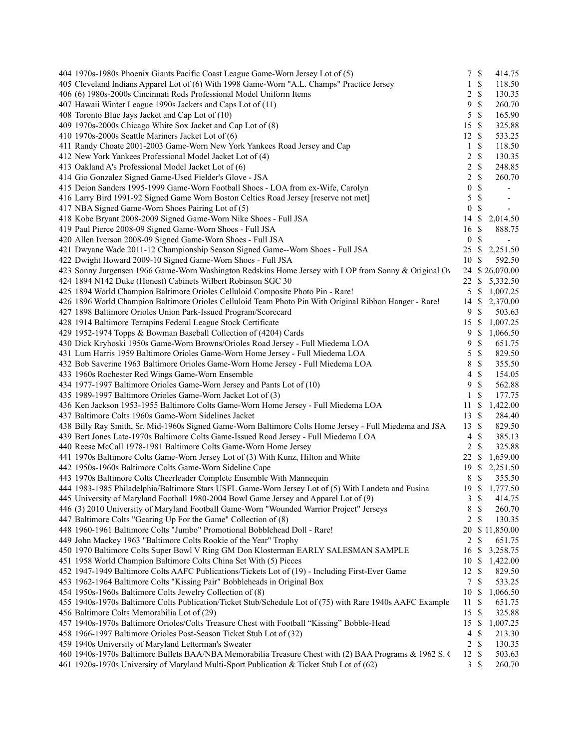| 404 1970s-1980s Phoenix Giants Pacific Coast League Game-Worn Jersey Lot of (5)                           | 7S               |               | 414.75                   |
|-----------------------------------------------------------------------------------------------------------|------------------|---------------|--------------------------|
| 405 Cleveland Indians Apparel Lot of (6) With 1998 Game-Worn "A.L. Champs" Practice Jersey                | 1                | \$            | 118.50                   |
| 406 (6) 1980s-2000s Cincinnati Reds Professional Model Uniform Items                                      | 2                | $\mathbb{S}$  | 130.35                   |
| 407 Hawaii Winter League 1990s Jackets and Caps Lot of (11)                                               | 9                | $\mathcal{S}$ | 260.70                   |
| 408 Toronto Blue Jays Jacket and Cap Lot of (10)                                                          | 5                | $\mathcal{S}$ | 165.90                   |
| 409 1970s-2000s Chicago White Sox Jacket and Cap Lot of (8)                                               | 15               | $\mathcal{S}$ | 325.88                   |
| 410 1970s-2000s Seattle Mariners Jacket Lot of (6)                                                        | 12               | $\mathcal{S}$ | 533.25                   |
| 411 Randy Choate 2001-2003 Game-Worn New York Yankees Road Jersey and Cap                                 | 1                | \$            | 118.50                   |
| 412 New York Yankees Professional Model Jacket Lot of (4)                                                 | 2                | \$            | 130.35                   |
| 413 Oakland A's Professional Model Jacket Lot of (6)                                                      | 2                | $\mathbb{S}$  | 248.85                   |
| 414 Gio Gonzalez Signed Game-Used Fielder's Glove - JSA                                                   | $\overline{c}$   | $\mathcal{S}$ | 260.70                   |
| 415 Deion Sanders 1995-1999 Game-Worn Football Shoes - LOA from ex-Wife, Carolyn                          | $\boldsymbol{0}$ | $\mathbb S$   |                          |
| 416 Larry Bird 1991-92 Signed Game Worn Boston Celtics Road Jersey [reserve not met]                      | 5                | $\mathcal{S}$ | $\overline{\phantom{a}}$ |
| 417 NBA Signed Game-Worn Shoes Pairing Lot of (5)                                                         | $\boldsymbol{0}$ | \$            | $\sim$                   |
| 418 Kobe Bryant 2008-2009 Signed Game-Worn Nike Shoes - Full JSA                                          | 14               | \$            | 2,014.50                 |
| 419 Paul Pierce 2008-09 Signed Game-Worn Shoes - Full JSA                                                 | 16               | \$            | 888.75                   |
| 420 Allen Iverson 2008-09 Signed Game-Worn Shoes - Full JSA                                               | $\boldsymbol{0}$ | $\mathcal{S}$ |                          |
| 421 Dwyane Wade 2011-12 Championship Season Signed Game--Worn Shoes - Full JSA                            | 25               | -\$           | 2,251.50                 |
| 422 Dwight Howard 2009-10 Signed Game-Worn Shoes - Full JSA                                               | 10               | -S            | 592.50                   |
|                                                                                                           |                  |               | 24 \$26,070.00           |
| 423 Sonny Jurgensen 1966 Game-Worn Washington Redskins Home Jersey with LOP from Sonny & Original Ov      |                  |               |                          |
| 424 1894 N142 Duke (Honest) Cabinets Wilbert Robinson SGC 30                                              | 22               | <sup>\$</sup> | 5,332.50                 |
| 425 1894 World Champion Baltimore Orioles Celluloid Composite Photo Pin - Rare!                           | 5                | -S            | 1,007.25                 |
| 426 1896 World Champion Baltimore Orioles Celluloid Team Photo Pin With Original Ribbon Hanger - Rare!    | 14               | -S            | 2,370.00                 |
| 427 1898 Baltimore Orioles Union Park-Issued Program/Scorecard                                            | 9                | $\mathcal{S}$ | 503.63                   |
| 428 1914 Baltimore Terrapins Federal League Stock Certificate                                             | 15               | -S            | 1,007.25                 |
| 429 1952-1974 Topps & Bowman Baseball Collection of (4204) Cards                                          | 9                | <sup>\$</sup> | 1,066.50                 |
| 430 Dick Kryhoski 1950s Game-Worn Browns/Orioles Road Jersey - Full Miedema LOA                           | 9                | \$            | 651.75                   |
| 431 Lum Harris 1959 Baltimore Orioles Game-Worn Home Jersey - Full Miedema LOA                            | 5                | $\mathcal{S}$ | 829.50                   |
| 432 Bob Saverine 1963 Baltimore Orioles Game-Worn Home Jersey - Full Miedema LOA                          | 8                | $\mathbb{S}$  | 355.50                   |
| 433 1960s Rochester Red Wings Game-Worn Ensemble                                                          | 4                | $\mathcal{S}$ | 154.05                   |
| 434 1977-1997 Baltimore Orioles Game-Worn Jersey and Pants Lot of (10)                                    | 9                | $\mathcal{S}$ | 562.88                   |
| 435 1989-1997 Baltimore Orioles Game-Worn Jacket Lot of (3)                                               | 1                | \$            | 177.75                   |
| 436 Ken Jackson 1953-1955 Baltimore Colts Game-Worn Home Jersey - Full Miedema LOA                        | 11               | \$            | 1,422.00                 |
| 437 Baltimore Colts 1960s Game-Worn Sidelines Jacket                                                      | 13               | $\mathcal{S}$ | 284.40                   |
| 438 Billy Ray Smith, Sr. Mid-1960s Signed Game-Worn Baltimore Colts Home Jersey - Full Miedema and JSA    | 13               | $\mathbb{S}$  | 829.50                   |
| 439 Bert Jones Late-1970s Baltimore Colts Game-Issued Road Jersey - Full Miedema LOA                      | $\overline{4}$   | $\mathcal{S}$ | 385.13                   |
| 440 Reese McCall 1978-1981 Baltimore Colts Game-Worn Home Jersey                                          | $\overline{2}$   | $\mathcal{S}$ | 325.88                   |
| 441 1970s Baltimore Colts Game-Worn Jersey Lot of (3) With Kunz, Hilton and White                         | 22               | \$            | 1,659.00                 |
| 442 1950s-1960s Baltimore Colts Game-Worn Sideline Cape                                                   | 19               | -S            | 2,251.50                 |
| 443 1970s Baltimore Colts Cheerleader Complete Ensemble With Mannequin                                    | 8                | \$            | 355.50                   |
| 444 1983-1985 Philadelphia/Baltimore Stars USFL Game-Worn Jersey Lot of (5) With Landeta and Fusina       | 19S              |               | 1,777.50                 |
| 445 University of Maryland Football 1980-2004 Bowl Game Jersey and Apparel Lot of (9)                     | 3                | $\mathcal{S}$ | 414.75                   |
| 446 (3) 2010 University of Maryland Football Game-Worn "Wounded Warrior Project" Jerseys                  | 8                | $\mathbb{S}$  | 260.70                   |
| 447 Baltimore Colts "Gearing Up For the Game" Collection of (8)                                           | 2                | \$            | 130.35                   |
| 448 1960-1961 Baltimore Colts "Jumbo" Promotional Bobblehead Doll - Rare!                                 | 20               |               | \$11,850.00              |
| 449 John Mackey 1963 "Baltimore Colts Rookie of the Year" Trophy                                          | 2                | $\mathcal{S}$ | 651.75                   |
| 450 1970 Baltimore Colts Super Bowl V Ring GM Don Klosterman EARLY SALESMAN SAMPLE                        | 16               | -S            | 3,258.75                 |
| 451 1958 World Champion Baltimore Colts China Set With (5) Pieces                                         | 10               | -S            | 1,422.00                 |
| 452 1947-1949 Baltimore Colts AAFC Publications/Tickets Lot of (19) - Including First-Ever Game           | 12               | -S            | 829.50                   |
|                                                                                                           | $\tau$           |               |                          |
| 453 1962-1964 Baltimore Colts "Kissing Pair" Bobbleheads in Original Box                                  |                  | -\$           | 533.25                   |
| 454 1950s-1960s Baltimore Colts Jewelry Collection of (8)                                                 | 10               | -\$           | 1,066.50                 |
| 455 1940s-1970s Baltimore Colts Publication/Ticket Stub/Schedule Lot of (75) with Rare 1940s AAFC Example | 11               | \$            | 651.75                   |
| 456 Baltimore Colts Memorabilia Lot of (29)                                                               | 15               | $\mathcal{S}$ | 325.88                   |
| 457 1940s-1970s Baltimore Orioles/Colts Treasure Chest with Football "Kissing" Bobble-Head                | 15               | <sup>\$</sup> | 1,007.25                 |
| 458 1966-1997 Baltimore Orioles Post-Season Ticket Stub Lot of (32)                                       | 4                | S             | 213.30                   |
| 459 1940s University of Maryland Letterman's Sweater                                                      | 2                | $\mathbb{S}$  | 130.35                   |
| 460 1940s-1970s Baltimore Bullets BAA/NBA Memorabilia Treasure Chest with (2) BAA Programs & 1962 S. (    | 12               | \$            | 503.63                   |
| 461 1920s-1970s University of Maryland Multi-Sport Publication & Ticket Stub Lot of (62)                  | 3                | -\$           | 260.70                   |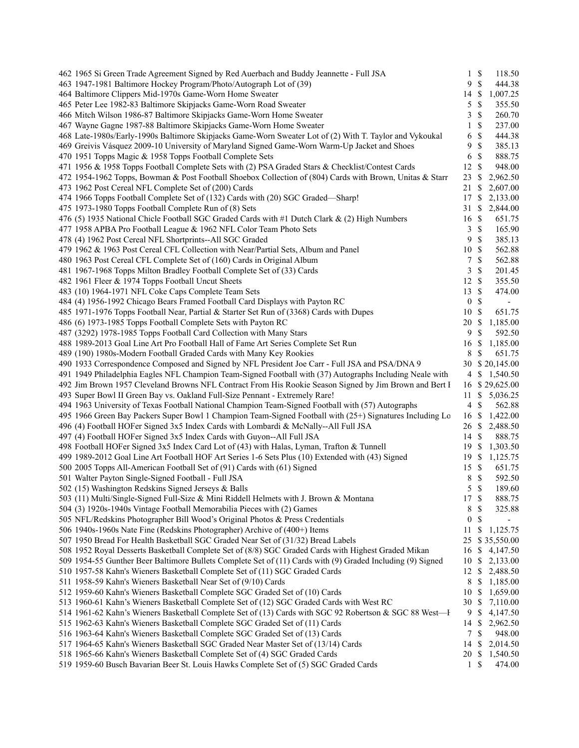| 462 1965 Si Green Trade Agreement Signed by Red Auerbach and Buddy Jeannette - Full JSA                                                                                                           | $1 \text{ }$ \$  |               | 118.50                   |  |
|---------------------------------------------------------------------------------------------------------------------------------------------------------------------------------------------------|------------------|---------------|--------------------------|--|
| 463 1947-1981 Baltimore Hockey Program/Photo/Autograph Lot of (39)                                                                                                                                | 9                | \$            | 444.38                   |  |
| 464 Baltimore Clippers Mid-1970s Game-Worn Home Sweater                                                                                                                                           | 14               | \$            | 1,007.25                 |  |
| 465 Peter Lee 1982-83 Baltimore Skipjacks Game-Worn Road Sweater                                                                                                                                  | 5                | \$            | 355.50                   |  |
| 466 Mitch Wilson 1986-87 Baltimore Skipjacks Game-Worn Home Sweater                                                                                                                               | 3                | \$            | 260.70                   |  |
| 467 Wayne Gagne 1987-88 Baltimore Skipjacks Game-Worn Home Sweater                                                                                                                                | 1                | \$            | 237.00                   |  |
| 468 Late-1980s/Early-1990s Baltimore Skipjacks Game-Worn Sweater Lot of (2) With T. Taylor and Vykoukal                                                                                           | 6                | \$            | 444.38                   |  |
| 469 Greivis Vásquez 2009-10 University of Maryland Signed Game-Worn Warm-Up Jacket and Shoes                                                                                                      | 9                | \$            | 385.13                   |  |
| 470 1951 Topps Magic & 1958 Topps Football Complete Sets                                                                                                                                          | 6                | \$            | 888.75                   |  |
| 471 1956 & 1958 Topps Football Complete Sets with (2) PSA Graded Stars & Checklist/Contest Cards                                                                                                  | 12               | \$            | 948.00                   |  |
| 472 1954-1962 Topps, Bowman & Post Football Shoebox Collection of (804) Cards with Brown, Unitas & Starr                                                                                          | 23               | \$            | 2,962.50                 |  |
| 473 1962 Post Cereal NFL Complete Set of (200) Cards                                                                                                                                              | 21               | \$            | 2,607.00                 |  |
| 474 1966 Topps Football Complete Set of (132) Cards with (20) SGC Graded—Sharp!                                                                                                                   | 17               | \$            | 2,133.00                 |  |
| 475 1973-1980 Topps Football Complete Run of (8) Sets                                                                                                                                             | 31               | \$            | 2,844.00                 |  |
| 476 (5) 1935 National Chicle Football SGC Graded Cards with #1 Dutch Clark & (2) High Numbers                                                                                                     | 16               | \$            | 651.75                   |  |
| 477 1958 APBA Pro Football League & 1962 NFL Color Team Photo Sets                                                                                                                                | 3                | \$            | 165.90                   |  |
| 478 (4) 1962 Post Cereal NFL Shortprints--All SGC Graded                                                                                                                                          | 9                | \$            | 385.13                   |  |
| 479 1962 & 1963 Post Cereal CFL Collection with Near/Partial Sets, Album and Panel                                                                                                                | 10               | <sup>\$</sup> | 562.88                   |  |
| 480 1963 Post Cereal CFL Complete Set of (160) Cards in Original Album                                                                                                                            | 7                | \$            | 562.88                   |  |
| 481 1967-1968 Topps Milton Bradley Football Complete Set of (33) Cards                                                                                                                            | 3                | \$            | 201.45                   |  |
| 482 1961 Fleer & 1974 Topps Football Uncut Sheets                                                                                                                                                 | 12S              |               | 355.50                   |  |
| 483 (10) 1964-1971 NFL Coke Caps Complete Team Sets                                                                                                                                               | 13               | -S            | 474.00                   |  |
| 484 (4) 1956-1992 Chicago Bears Framed Football Card Displays with Payton RC                                                                                                                      | $\boldsymbol{0}$ | \$            | $\overline{\phantom{a}}$ |  |
| 485 1971-1976 Topps Football Near, Partial & Starter Set Run of (3368) Cards with Dupes                                                                                                           | 10               | -S            | 651.75                   |  |
| 486 (6) 1973-1985 Topps Football Complete Sets with Payton RC                                                                                                                                     | 20               | <sup>\$</sup> | 1,185.00                 |  |
| 487 (3292) 1978-1985 Topps Football Card Collection with Many Stars                                                                                                                               | 9                | \$            | 592.50                   |  |
| 488 1989-2013 Goal Line Art Pro Football Hall of Fame Art Series Complete Set Run                                                                                                                 | 16               | \$            | 1,185.00                 |  |
| 489 (190) 1980s-Modern Football Graded Cards with Many Key Rookies                                                                                                                                | 8                | \$            | 651.75                   |  |
| 490 1933 Correspondence Composed and Signed by NFL President Joe Carr - Full JSA and PSA/DNA 9                                                                                                    |                  |               | 30 \$ 20,145.00          |  |
| 491 1949 Philadelphia Eagles NFL Champion Team-Signed Football with (37) Autographs Including Neale with                                                                                          |                  |               | 4 \$ 1,540.50            |  |
| 492 Jim Brown 1957 Cleveland Browns NFL Contract From His Rookie Season Signed by Jim Brown and Bert I                                                                                            |                  |               | 16 \$29,625.00           |  |
| 493 Super Bowl II Green Bay vs. Oakland Full-Size Pennant - Extremely Rare!                                                                                                                       |                  |               | 11 \$ 5,036.25           |  |
| 494 1963 University of Texas Football National Champion Team-Signed Football with (57) Autographs                                                                                                 | 4                | \$            | 562.88                   |  |
| 495 1966 Green Bay Packers Super Bowl 1 Champion Team-Signed Football with (25+) Signatures Including Lo                                                                                          | 16               |               | \$1,422.00               |  |
| 496 (4) Football HOFer Signed 3x5 Index Cards with Lombardi & McNally--All Full JSA                                                                                                               |                  |               | 26 \$ 2,488.50           |  |
| 497 (4) Football HOFer Signed 3x5 Index Cards with Guyon--All Full JSA                                                                                                                            | $14 \text{ }$ \$ |               | 888.75                   |  |
| 498 Football HOFer Signed 3x5 Index Card Lot of (43) with Halas, Lyman, Trafton & Tunnell                                                                                                         |                  |               | 19 \$ 1,303.50           |  |
| 499 1989-2012 Goal Line Art Football HOF Art Series 1-6 Sets Plus (10) Extended with (43) Signed                                                                                                  |                  |               | 19 \$ 1,125.75           |  |
| 500 2005 Topps All-American Football Set of (91) Cards with (61) Signed                                                                                                                           | 15S              |               | 651.75                   |  |
| 501 Walter Payton Single-Signed Football - Full JSA                                                                                                                                               | 8                | \$            | 592.50                   |  |
| 502 (15) Washington Redskins Signed Jerseys & Balls                                                                                                                                               | 5 <sup>5</sup>   | $\mathcal{S}$ | 189.60                   |  |
| 503 (11) Multi/Single-Signed Full-Size & Mini Riddell Helmets with J. Brown & Montana                                                                                                             | 17               | $\mathcal{S}$ | 888.75                   |  |
| 504 (3) 1920s-1940s Vintage Football Memorabilia Pieces with (2) Games                                                                                                                            | 8                | \$            | 325.88                   |  |
| 505 NFL/Redskins Photographer Bill Wood's Original Photos & Press Credentials                                                                                                                     | $\boldsymbol{0}$ | \$            | $\overline{\phantom{a}}$ |  |
| 506 1940s-1960s Nate Fine (Redskins Photographer) Archive of (400+) Items                                                                                                                         | 11               | \$            | 1,125.75                 |  |
| 507 1950 Bread For Health Basketball SGC Graded Near Set of (31/32) Bread Labels                                                                                                                  |                  |               | 25 \$35,550.00           |  |
| 508 1952 Royal Desserts Basketball Complete Set of (8/8) SGC Graded Cards with Highest Graded Mikan                                                                                               |                  |               | 16 \$ 4,147.50           |  |
| 509 1954-55 Gunther Beer Baltimore Bullets Complete Set of (11) Cards with (9) Graded Including (9) Signed                                                                                        |                  |               | 10 \$ 2,133.00           |  |
| 510 1957-58 Kahn's Wieners Basketball Complete Set of (11) SGC Graded Cards                                                                                                                       |                  |               | 12 \$ 2,488.50           |  |
| 511 1958-59 Kahn's Wieners Basketball Near Set of (9/10) Cards                                                                                                                                    | 8                |               | \$1,185.00               |  |
| 512 1959-60 Kahn's Wieners Basketball Complete SGC Graded Set of (10) Cards                                                                                                                       | 10               | \$            | 1,659.00                 |  |
| 513 1960-61 Kahn's Wieners Basketball Complete Set of (12) SGC Graded Cards with West RC<br>514 1961-62 Kahn's Wieners Basketball Complete Set of (13) Cards with SGC 92 Robertson & SGC 88 West- | 30S              | 9\$           | 7,110.00                 |  |
| 515 1962-63 Kahn's Wieners Basketball Complete SGC Graded Set of (11) Cards                                                                                                                       | $14 \text{ }$ \$ |               | 4,147.50<br>2,962.50     |  |
| 516 1963-64 Kahn's Wieners Basketball Complete SGC Graded Set of (13) Cards                                                                                                                       | $7\phantom{.0}$  | \$            | 948.00                   |  |
| 517 1964-65 Kahn's Wieners Basketball SGC Graded Near Master Set of (13/14) Cards                                                                                                                 |                  |               | 14 \$ 2,014.50           |  |
| 518 1965-66 Kahn's Wieners Basketball Complete Set of (4) SGC Graded Cards                                                                                                                        |                  |               | 20 \$ 1,540.50           |  |
| 519 1959-60 Busch Bavarian Beer St. Louis Hawks Complete Set of (5) SGC Graded Cards                                                                                                              | $\mathbf{1}$     | \$            | 474.00                   |  |
|                                                                                                                                                                                                   |                  |               |                          |  |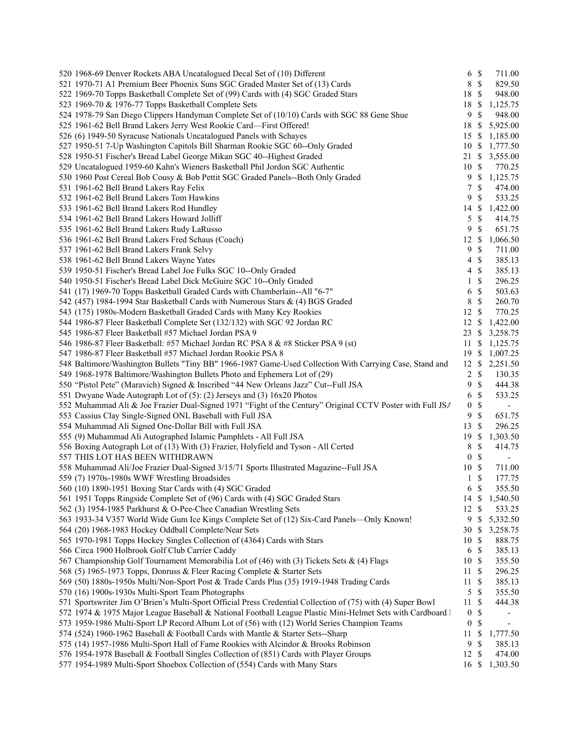| 520 1968-69 Denver Rockets ABA Uncatalogued Decal Set of (10) Different                                     |                  | $6 \text{ }$ \$ | 711.00         |
|-------------------------------------------------------------------------------------------------------------|------------------|-----------------|----------------|
| 521 1970-71 A1 Premium Beer Phoenix Suns SGC Graded Master Set of (13) Cards                                | $8\,$            | $\mathcal{S}$   | 829.50         |
| 522 1969-70 Topps Basketball Complete Set of (99) Cards with (4) SGC Graded Stars                           | 18               | -\$             | 948.00         |
| 523 1969-70 & 1976-77 Topps Basketball Complete Sets                                                        | 18               | S               | 1,125.75       |
| 524 1978-79 San Diego Clippers Handyman Complete Set of (10/10) Cards with SGC 88 Gene Shue                 | 9                | $\mathcal{S}$   | 948.00         |
| 525 1961-62 Bell Brand Lakers Jerry West Rookie Card-First Offered!                                         | 18               | - \$            | 5,925.00       |
| 526 (6) 1949-50 Syracuse Nationals Uncatalogued Panels with Schayes                                         | 15 \$            |                 | 1,185.00       |
| 527 1950-51 7-Up Washington Capitols Bill Sharman Rookie SGC 60--Only Graded                                | 10S              |                 | 1,777.50       |
| 528 1950-51 Fischer's Bread Label George Mikan SGC 40--Highest Graded                                       | 21               | <sup>\$</sup>   | 3,555.00       |
| 529 Uncatalogued 1959-60 Kahn's Wieners Basketball Phil Jordon SGC Authentic                                | 10               | -S              | 770.25         |
| 530 1960 Post Cereal Bob Cousy & Bob Pettit SGC Graded Panels--Both Only Graded                             | 9                | $\mathcal{S}$   | 1,125.75       |
| 531 1961-62 Bell Brand Lakers Ray Felix                                                                     | 7                | $\mathbb{S}$    | 474.00         |
| 532 1961-62 Bell Brand Lakers Tom Hawkins                                                                   | 9                | $\mathcal{S}$   | 533.25         |
| 533 1961-62 Bell Brand Lakers Rod Hundley                                                                   | 14               | -S              | 1,422.00       |
| 534 1961-62 Bell Brand Lakers Howard Jolliff                                                                | 5                | $\mathbb{S}$    | 414.75         |
|                                                                                                             | 9                | $\mathcal{S}$   | 651.75         |
| 535 1961-62 Bell Brand Lakers Rudy LaRusso                                                                  | 12               | <sup>\$</sup>   |                |
| 536 1961-62 Bell Brand Lakers Fred Schaus (Coach)                                                           |                  |                 | 1,066.50       |
| 537 1961-62 Bell Brand Lakers Frank Selvy                                                                   | 9                | $\mathcal{S}$   | 711.00         |
| 538 1961-62 Bell Brand Lakers Wayne Yates                                                                   | 4                | $\mathcal{S}$   | 385.13         |
| 539 1950-51 Fischer's Bread Label Joe Fulks SGC 10--Only Graded                                             | 4                | $\mathcal{S}$   | 385.13         |
| 540 1950-51 Fischer's Bread Label Dick McGuire SGC 10--Only Graded                                          | 1                | $\mathbb{S}$    | 296.25         |
| 541 (17) 1969-70 Topps Basketball Graded Cards with Chamberlain--All "6-7"                                  | 6                | $\mathbb{S}$    | 503.63         |
| 542 (457) 1984-1994 Star Basketball Cards with Numerous Stars & (4) BGS Graded                              | 8                | $\mathcal{S}$   | 260.70         |
| 543 (175) 1980s-Modern Basketball Graded Cards with Many Key Rookies                                        | 12               | $\mathcal{S}$   | 770.25         |
| 544 1986-87 Fleer Basketball Complete Set (132/132) with SGC 92 Jordan RC                                   | 12               | -S              | 1,422.00       |
| 545 1986-87 Fleer Basketball #57 Michael Jordan PSA 9                                                       | 23S              |                 | 3,258.75       |
| 546 1986-87 Fleer Basketball: #57 Michael Jordan RC PSA 8 & #8 Sticker PSA 9 (st)                           | 11               | \$              | 1,125.75       |
| 547 1986-87 Fleer Basketball #57 Michael Jordan Rookie PSA 8                                                | 19 \$            |                 | 1,007.25       |
| 548 Baltimore/Washington Bullets "Tiny BB" 1966-1987 Game-Used Collection With Carrying Case, Stand and     | 12 \$            |                 | 2,251.50       |
| 549 1968-1978 Baltimore/Washington Bullets Photo and Ephemera Lot of (29)                                   | $\overline{c}$   | $\mathcal{S}$   | 130.35         |
| 550 "Pistol Pete" (Maravich) Signed & Inscribed "44 New Orleans Jazz" Cut--Full JSA                         | 9                | $\mathcal{S}$   | 444.38         |
| 551 Dwyane Wade Autograph Lot of (5): (2) Jerseys and (3) 16x20 Photos                                      | 6                | $\mathcal{S}$   | 533.25         |
| 552 Muhammad Ali & Joe Frazier Dual-Signed 1971 "Fight of the Century" Original CCTV Poster with Full JSA   | $\boldsymbol{0}$ | \$              |                |
| 553 Cassius Clay Single-Signed ONL Baseball with Full JSA                                                   | 9                | $\mathcal{S}$   | 651.75         |
| 554 Muhammad Ali Signed One-Dollar Bill with Full JSA                                                       | 13               | $\mathcal{S}$   | 296.25         |
| 555 (9) Muhammad Ali Autographed Islamic Pamphlets - All Full JSA                                           | 19               | $\mathcal{S}$   | 1,303.50       |
| 556 Boxing Autograph Lot of (13) With (3) Frazier, Holyfield and Tyson - All Certed                         | 8                | $\mathbb{S}$    | 414.75         |
| 557 THIS LOT HAS BEEN WITHDRAWN                                                                             | $\boldsymbol{0}$ | \$              |                |
| 558 Muhammad Ali/Joe Frazier Dual-Signed 3/15/71 Sports Illustrated Magazine--Full JSA                      | 10               | $\mathcal{S}$   | 711.00         |
| 559 (7) 1970s-1980s WWF Wrestling Broadsides                                                                | $\mathbf{1}$     | \$              | 177.75         |
| 560 (10) 1890-1951 Boxing Star Cards with (4) SGC Graded                                                    | 6                | $\mathcal{S}$   | 355.50         |
| 561 1951 Topps Ringside Complete Set of (96) Cards with (4) SGC Graded Stars                                |                  |                 | 14 \$ 1,540.50 |
| 562 (3) 1954-1985 Parkhurst & O-Pee-Chee Canadian Wrestling Sets                                            | 12               | <sup>\$</sup>   | 533.25         |
| 563 1933-34 V357 World Wide Gum Ice Kings Complete Set of (12) Six-Card Panels-Only Known!                  | 9                | -S              | 5,332.50       |
|                                                                                                             | 30               | -S              | 3,258.75       |
| 564 (20) 1968-1983 Hockey Oddball Complete/Near Sets                                                        |                  |                 |                |
| 565 1970-1981 Topps Hockey Singles Collection of (4364) Cards with Stars                                    | 10               | S               | 888.75         |
| 566 Circa 1900 Holbrook Golf Club Carrier Caddy                                                             | 6                | \$              | 385.13         |
| 567 Championship Golf Tournament Memorabilia Lot of (46) with (3) Tickets Sets & (4) Flags                  | 10               | -\$             | 355.50         |
| 568 (5) 1965-1973 Topps, Donruss & Fleer Racing Complete & Starter Sets                                     | 11               | \$              | 296.25         |
| 569 (50) 1880s-1950s Multi/Non-Sport Post & Trade Cards Plus (35) 1919-1948 Trading Cards                   | 11               | \$              | 385.13         |
| 570 (16) 1900s-1930s Multi-Sport Team Photographs                                                           | 5                | \$              | 355.50         |
| 571 Sportswriter Jim O'Brien's Multi-Sport Official Press Credential Collection of (75) with (4) Super Bowl | 11               | \$              | 444.38         |
| 572 1974 & 1975 Major League Baseball & National Football League Plastic Mini-Helmet Sets with Cardboard 1  | $\boldsymbol{0}$ | \$              |                |
| 573 1959-1986 Multi-Sport LP Record Album Lot of (56) with (12) World Series Champion Teams                 | $\boldsymbol{0}$ | \$              |                |
| 574 (524) 1960-1962 Baseball & Football Cards with Mantle & Starter Sets--Sharp                             | 11               | \$              | 1,777.50       |
| 575 (14) 1957-1986 Multi-Sport Hall of Fame Rookies with Alcindor & Brooks Robinson                         | 9                | \$              | 385.13         |
| 576 1954-1978 Baseball & Football Singles Collection of (851) Cards with Player Groups                      | 12               | \$              | 474.00         |
| 577 1954-1989 Multi-Sport Shoebox Collection of (554) Cards with Many Stars                                 | 16 \$            |                 | 1,303.50       |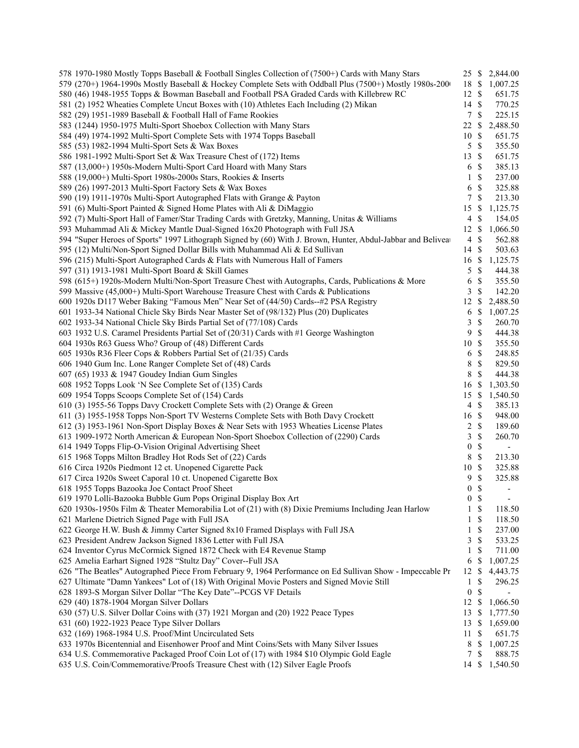| 578 1970-1980 Mostly Topps Baseball & Football Singles Collection of (7500+) Cards with Many Stars           | 25 \$            |               | 2,844.00                 |  |
|--------------------------------------------------------------------------------------------------------------|------------------|---------------|--------------------------|--|
| 579 (270+) 1964-1990s Mostly Baseball & Hockey Complete Sets with Oddball Plus (7500+) Mostly 1980s-200      | 18 \$            |               | 1,007.25                 |  |
| 580 (46) 1948-1955 Topps & Bowman Baseball and Football PSA Graded Cards with Killebrew RC                   | 12               | -S            | 651.75                   |  |
| 581 (2) 1952 Wheaties Complete Uncut Boxes with (10) Athletes Each Including (2) Mikan                       | 14S              |               | 770.25                   |  |
| 582 (29) 1951-1989 Baseball & Football Hall of Fame Rookies                                                  | $\tau$           | $\mathcal{S}$ | 225.15                   |  |
| 583 (1244) 1950-1975 Multi-Sport Shoebox Collection with Many Stars                                          | 22               | \$            | 2,488.50                 |  |
| 584 (49) 1974-1992 Multi-Sport Complete Sets with 1974 Topps Baseball                                        | 10               | $\mathcal{S}$ | 651.75                   |  |
| 585 (53) 1982-1994 Multi-Sport Sets & Wax Boxes                                                              | $5 \text{ }$ \$  |               | 355.50                   |  |
| 586 1981-1992 Multi-Sport Set & Wax Treasure Chest of (172) Items                                            | 13               | -S            | 651.75                   |  |
| 587 (13,000+) 1950s-Modern Multi-Sport Card Hoard with Many Stars                                            | 6                | -S            | 385.13                   |  |
| 588 (19,000+) Multi-Sport 1980s-2000s Stars, Rookies & Inserts                                               | 1                | $\mathcal{S}$ | 237.00                   |  |
| 589 (26) 1997-2013 Multi-Sport Factory Sets & Wax Boxes                                                      | 6                | $\mathcal{S}$ | 325.88                   |  |
| 590 (19) 1911-1970s Multi-Sport Autographed Flats with Grange & Payton                                       | 7                | $\mathcal{S}$ | 213.30                   |  |
| 591 (6) Multi-Sport Painted & Signed Home Plates with Ali & DiMaggio                                         | 15               | \$            | 1,125.75                 |  |
| 592 (7) Multi-Sport Hall of Famer/Star Trading Cards with Gretzky, Manning, Unitas & Williams                | 4                | S             | 154.05                   |  |
|                                                                                                              |                  |               |                          |  |
| 593 Muhammad Ali & Mickey Mantle Dual-Signed 16x20 Photograph with Full JSA                                  | $12 \text{ }$ \$ |               | 1,066.50                 |  |
| 594 "Super Heroes of Sports" 1997 Lithograph Signed by (60) With J. Brown, Hunter, Abdul-Jabbar and Belivear | $\overline{4}$   | $\mathcal{S}$ | 562.88                   |  |
| 595 (12) Multi/Non-Sport Signed Dollar Bills with Muhammad Ali & Ed Sullivan                                 | 14               | $\mathcal{S}$ | 503.63                   |  |
| 596 (215) Multi-Sport Autographed Cards & Flats with Numerous Hall of Famers                                 | 16               | -S            | 1,125.75                 |  |
| 597 (31) 1913-1981 Multi-Sport Board & Skill Games                                                           | 5                | $\mathbb{S}$  | 444.38                   |  |
| 598 (615+) 1920s-Modern Multi/Non-Sport Treasure Chest with Autographs, Cards, Publications & More           | 6                | \$            | 355.50                   |  |
| 599 Massive (45,000+) Multi-Sport Warehouse Treasure Chest with Cards & Publications                         | 3                | $\mathcal{S}$ | 142.20                   |  |
| 600 1920s D117 Weber Baking "Famous Men" Near Set of (44/50) Cards--#2 PSA Registry                          | 12               | <sup>\$</sup> | 2,488.50                 |  |
| 601 1933-34 National Chicle Sky Birds Near Master Set of (98/132) Plus (20) Duplicates                       | 6                | $\mathbb{S}$  | 1,007.25                 |  |
| 602 1933-34 National Chicle Sky Birds Partial Set of (77/108) Cards                                          | 3                | $\mathbb{S}$  | 260.70                   |  |
| 603 1932 U.S. Caramel Presidents Partial Set of (20/31) Cards with #1 George Washington                      | 9                | \$            | 444.38                   |  |
| 604 1930s R63 Guess Who? Group of (48) Different Cards                                                       | 10               | $\mathcal{S}$ | 355.50                   |  |
| 605 1930s R36 Fleer Cops & Robbers Partial Set of (21/35) Cards                                              | 6                | $\mathbb{S}$  | 248.85                   |  |
| 606 1940 Gum Inc. Lone Ranger Complete Set of (48) Cards                                                     | 8                | $\mathbb{S}$  | 829.50                   |  |
| 607 (65) 1933 & 1947 Goudey Indian Gum Singles                                                               | 8                | $\mathcal{S}$ | 444.38                   |  |
| 608 1952 Topps Look 'N See Complete Set of (135) Cards                                                       | 16               | \$            | 1,303.50                 |  |
| 609 1954 Topps Scoops Complete Set of (154) Cards                                                            | 15               | -S            | 1,540.50                 |  |
| 610 (3) 1955-56 Topps Davy Crockett Complete Sets with (2) Orange & Green                                    | 4                | <sup>\$</sup> | 385.13                   |  |
| 611 (3) 1955-1958 Topps Non-Sport TV Westerns Complete Sets with Both Davy Crockett                          | 16               | $\mathcal{S}$ | 948.00                   |  |
| 612 (3) 1953-1961 Non-Sport Display Boxes & Near Sets with 1953 Wheaties License Plates                      | 2                | $\mathbb{S}$  | 189.60                   |  |
| 613 1909-1972 North American & European Non-Sport Shoebox Collection of (2290) Cards                         | 3                | $\mathcal{S}$ | 260.70                   |  |
| 614 1949 Topps Flip-O-Vision Original Advertising Sheet                                                      | $\boldsymbol{0}$ | $\mathbb{S}$  | $\overline{\phantom{a}}$ |  |
| 615 1968 Topps Milton Bradley Hot Rods Set of (22) Cards                                                     | 8                | $\mathbb{S}$  | 213.30                   |  |
| 616 Circa 1920s Piedmont 12 ct. Unopened Cigarette Pack                                                      | 10               | <sup>\$</sup> | 325.88                   |  |
| 617 Circa 1920s Sweet Caporal 10 ct. Unopened Cigarette Box                                                  | 9                | $\mathbb{S}$  | 325.88                   |  |
| 618 1955 Topps Bazooka Joe Contact Proof Sheet                                                               | $\boldsymbol{0}$ | <sup>\$</sup> |                          |  |
| 619 1970 Lolli-Bazooka Bubble Gum Pops Original Display Box Art                                              |                  |               | $\overline{\phantom{a}}$ |  |
|                                                                                                              | $\overline{0}$   | $\mathcal{S}$ | $\overline{\phantom{a}}$ |  |
| 620 1930s-1950s Film & Theater Memorabilia Lot of (21) with (8) Dixie Premiums Including Jean Harlow         | 1                | \$            | 118.50                   |  |
| 621 Marlene Dietrich Signed Page with Full JSA                                                               | 1                | \$            | 118.50                   |  |
| 622 George H.W. Bush & Jimmy Carter Signed 8x10 Framed Displays with Full JSA                                | 1                | \$            | 237.00                   |  |
| 623 President Andrew Jackson Signed 1836 Letter with Full JSA                                                | 3                | \$            | 533.25                   |  |
| 624 Inventor Cyrus McCormick Signed 1872 Check with E4 Revenue Stamp                                         | 1                | \$            | 711.00                   |  |
| 625 Amelia Earhart Signed 1928 "Stultz Day" Cover--Full JSA                                                  | 6                | \$            | 1,007.25                 |  |
| 626 "The Beatles" Autographed Piece From February 9, 1964 Performance on Ed Sullivan Show - Impeccable Pr    | 12               | -S            | 4,443.75                 |  |
| 627 Ultimate "Damn Yankees" Lot of (18) With Original Movie Posters and Signed Movie Still                   | 1                | \$            | 296.25                   |  |
| 628 1893-S Morgan Silver Dollar "The Key Date"--PCGS VF Details                                              | $\boldsymbol{0}$ | \$            |                          |  |
| 629 (40) 1878-1904 Morgan Silver Dollars                                                                     | 12S              |               | 1,066.50                 |  |
| 630 (57) U.S. Silver Dollar Coins with (37) 1921 Morgan and (20) 1922 Peace Types                            | 13               | -S            | 1,777.50                 |  |
| 631 (60) 1922-1923 Peace Type Silver Dollars                                                                 | 13               | <sup>\$</sup> | 1,659.00                 |  |
| 632 (169) 1968-1984 U.S. Proof/Mint Uncirculated Sets                                                        | 11               | -S            | 651.75                   |  |
| 633 1970s Bicentennial and Eisenhower Proof and Mint Coins/Sets with Many Silver Issues                      | 8                | \$            | 1,007.25                 |  |
| 634 U.S. Commemorative Packaged Proof Coin Lot of (17) with 1984 \$10 Olympic Gold Eagle                     | 7                | -\$           | 888.75                   |  |
| 635 U.S. Coin/Commemorative/Proofs Treasure Chest with (12) Silver Eagle Proofs                              |                  |               | 14 \$ 1,540.50           |  |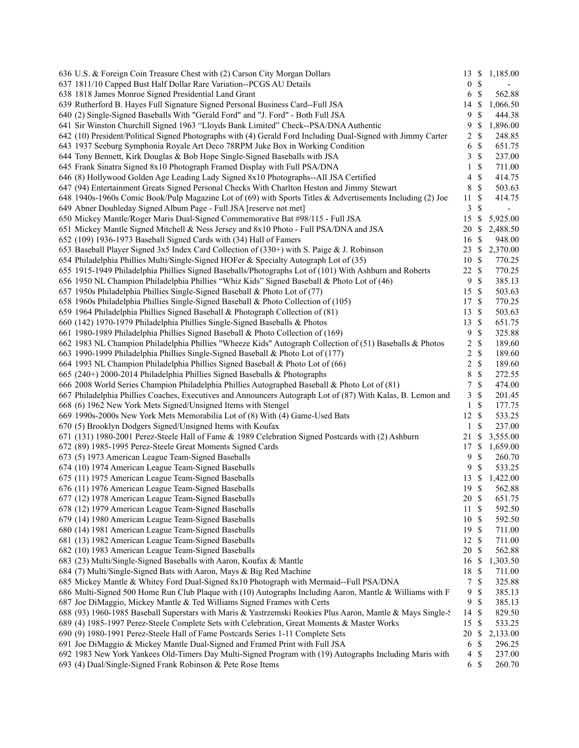| 636 U.S. & Foreign Coin Treasure Chest with (2) Carson City Morgan Dollars                                   | 13               | \$            | 1,185.00                 |
|--------------------------------------------------------------------------------------------------------------|------------------|---------------|--------------------------|
| 637 1811/10 Capped Bust Half Dollar Rare Variation--PCGS AU Details                                          | $\boldsymbol{0}$ | \$            | $\overline{\phantom{a}}$ |
| 638 1818 James Monroe Signed Presidential Land Grant                                                         | 6                | \$            | 562.88                   |
| 639 Rutherford B. Hayes Full Signature Signed Personal Business Card--Full JSA                               | 14               | S             | 1,066.50                 |
| 640 (2) Single-Signed Baseballs With "Gerald Ford" and "J. Ford" - Both Full JSA                             | 9                | \$            | 444.38                   |
| 641 Sir Winston Churchill Signed 1963 "Lloyds Bank Limited" Check--PSA/DNA Authentic                         | 9                | \$            | 1,896.00                 |
| 642 (10) President/Political Signed Photographs with (4) Gerald Ford Including Dual-Signed with Jimmy Carter | 2                | \$            | 248.85                   |
| 643 1937 Seeburg Symphonia Royale Art Deco 78RPM Juke Box in Working Condition                               | 6                | \$            | 651.75                   |
| 644 Tony Bennett, Kirk Douglas & Bob Hope Single-Signed Baseballs with JSA                                   | 3                | \$            | 237.00                   |
| 645 Frank Sinatra Signed 8x10 Photograph Framed Display with Full PSA/DNA                                    | 1                | \$            | 711.00                   |
| 646 (8) Hollywood Golden Age Leading Lady Signed 8x10 Photographs--All JSA Certified                         | 4                | \$            | 414.75                   |
| 647 (94) Entertainment Greats Signed Personal Checks With Charlton Heston and Jimmy Stewart                  | 8                | \$            | 503.63                   |
| 648 1940s-1960s Comic Book/Pulp Magazine Lot of (69) with Sports Titles & Advertisements Including (2) Joe   | 11               | \$            | 414.75                   |
| 649 Abner Doubleday Signed Album Page - Full JSA [reserve not met]                                           | 3                | \$            | $\overline{\phantom{a}}$ |
| 650 Mickey Mantle/Roger Maris Dual-Signed Commemorative Bat #98/115 - Full JSA                               | 15               | \$            | 5,925.00                 |
| 651 Mickey Mantle Signed Mitchell & Ness Jersey and 8x10 Photo - Full PSA/DNA and JSA                        | 20               | \$            | 2,488.50                 |
| 652 (109) 1936-1973 Baseball Signed Cards with (34) Hall of Famers                                           | 16               | \$            | 948.00                   |
|                                                                                                              |                  |               |                          |
| 653 Baseball Player Signed 3x5 Index Card Collection of (330+) with S. Paige & J. Robinson                   | 23               | $\mathbb{S}$  | 2,370.00                 |
| 654 Philadelphia Phillies Multi/Single-Signed HOFer & Specialty Autograph Lot of (35)                        | 10               | $\mathbb{S}$  | 770.25                   |
| 655 1915-1949 Philadelphia Phillies Signed Baseballs/Photographs Lot of (101) With Ashburn and Roberts       | 22               | $\mathbb{S}$  | 770.25                   |
| 656 1950 NL Champion Philadelphia Phillies "Whiz Kids" Signed Baseball & Photo Lot of (46)                   | 9                | \$            | 385.13                   |
| 657 1950s Philadelphia Phillies Single-Signed Baseball & Photo Lot of (77)                                   | 15               | $\mathcal{S}$ | 503.63                   |
| 658 1960s Philadelphia Phillies Single-Signed Baseball & Photo Collection of (105)                           | 17               | \$            | 770.25                   |
| 659 1964 Philadelphia Phillies Signed Baseball & Photograph Collection of (81)                               | 13               | \$            | 503.63                   |
| 660 (142) 1970-1979 Philadelphia Phillies Single-Signed Baseballs & Photos                                   | 13               | \$            | 651.75                   |
| 661 1980-1989 Philadelphia Phillies Signed Baseball & Photo Collection of (169)                              | 9                | \$            | 325.88                   |
| 662 1983 NL Champion Philadelphia Phillies "Wheeze Kids" Autograph Collection of (51) Baseballs & Photos     | 2                | $\mathbb{S}$  | 189.60                   |
| 663 1990-1999 Philadelphia Phillies Single-Signed Baseball & Photo Lot of (177)                              | 2                | \$            | 189.60                   |
| 664 1993 NL Champion Philadelphia Phillies Signed Baseball & Photo Lot of (66)                               | 2                | $\mathbb{S}$  | 189.60                   |
| 665 (240+) 2000-2014 Philadelphia Phillies Signed Baseballs & Photographs                                    | 8                | \$            | 272.55                   |
| 666 2008 World Series Champion Philadelphia Phillies Autographed Baseball & Photo Lot of (81)                | 7                | \$            | 474.00                   |
| 667 Philadelphia Phillies Coaches, Executives and Announcers Autograph Lot of (87) With Kalas, B. Lemon and  | 3                | \$            | 201.45                   |
| 668 (6) 1962 New York Mets Signed/Unsigned Items with Stengel                                                | 1                | \$            | 177.75                   |
| 669 1990s-2000s New York Mets Memorabilia Lot of (8) With (4) Game-Used Bats                                 | 12               | \$            | 533.25                   |
| 670 (5) Brooklyn Dodgers Signed/Unsigned Items with Koufax                                                   | 1                | \$            | 237.00                   |
| 671 (131) 1980-2001 Perez-Steele Hall of Fame & 1989 Celebration Signed Postcards with (2) Ashburn           | 21               | S             | 3,555.00                 |
| 672 (89) 1985-1995 Perez-Steele Great Moments Signed Cards                                                   |                  |               |                          |
|                                                                                                              | 17               | \$            | 1,659.00                 |
| 673 (5) 1973 American League Team-Signed Baseballs                                                           | 9                | \$            | 260.70                   |
| 674 (10) 1974 American League Team-Signed Baseballs                                                          | 9                | \$            | 533.25                   |
| 675 (11) 1975 American League Team-Signed Baseballs                                                          | 13               | \$            | 1,422.00                 |
| 676 (11) 1976 American League Team-Signed Baseballs                                                          | 19               | \$            | 562.88                   |
| 677 (12) 1978 American League Team-Signed Baseballs                                                          | 20 \$            |               | 651.75                   |
| 678 (12) 1979 American League Team-Signed Baseballs                                                          | 11               | \$            | 592.50                   |
| 679 (14) 1980 American League Team-Signed Baseballs                                                          | 10               | \$            | 592.50                   |
| 680 (14) 1981 American League Team-Signed Baseballs                                                          | 19               | \$            | 711.00                   |
| 681 (13) 1982 American League Team-Signed Baseballs                                                          | 12               | S             | 711.00                   |
| 682 (10) 1983 American League Team-Signed Baseballs                                                          | 20               | <sup>\$</sup> | 562.88                   |
| 683 (23) Multi/Single-Signed Baseballs with Aaron, Koufax & Mantle                                           | 16               | \$            | 1,303.50                 |
| 684 (7) Multi/Single-Signed Bats with Aaron, Mays & Big Red Machine                                          | 18               | S             | 711.00                   |
| 685 Mickey Mantle & Whitey Ford Dual-Signed 8x10 Photograph with Mermaid--Full PSA/DNA                       | 7                | \$            | 325.88                   |
| 686 Multi-Signed 500 Home Run Club Plaque with (10) Autographs Including Aaron, Mantle & Williams with F     | 9                | \$            | 385.13                   |
| 687 Joe DiMaggio, Mickey Mantle & Ted Williams Signed Frames with Certs                                      | $\overline{9}$   | \$            | 385.13                   |
| 688 (93) 1960-1985 Baseball Superstars with Maris & Yastrzemski Rookies Plus Aaron, Mantle & Mays Single-5   | 14               | \$            | 829.50                   |
| 689 (4) 1985-1997 Perez-Steele Complete Sets with Celebration, Great Moments & Master Works                  | 15               | <sup>\$</sup> | 533.25                   |
| 690 (9) 1980-1991 Perez-Steele Hall of Fame Postcards Series 1-11 Complete Sets                              | 20               | \$            | 2,133.00                 |
| 691 Joe DiMaggio & Mickey Mantle Dual-Signed and Framed Print with Full JSA                                  | 6                | \$            | 296.25                   |
|                                                                                                              |                  |               |                          |
| 692 1983 New York Yankees Old-Timers Day Multi-Signed Program with (19) Autographs Including Maris with      | 4                | \$            | 237.00                   |
| 693 (4) Dual/Single-Signed Frank Robinson & Pete Rose Items                                                  | 6                | \$            | 260.70                   |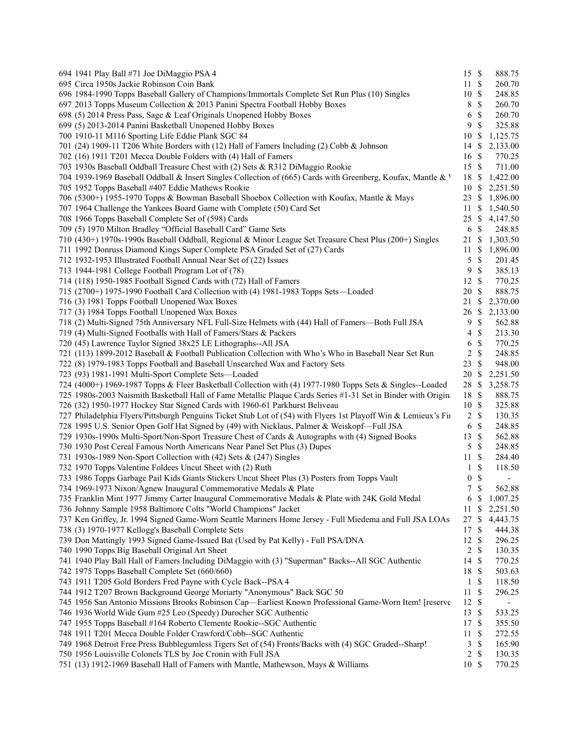| 694 1941 Play Ball #71 Joe DiMaggio PSA 4                                                                       | 15S                             | 888.75         |
|-----------------------------------------------------------------------------------------------------------------|---------------------------------|----------------|
| 695 Circa 1950s Jackie Robinson Coin Bank                                                                       | 11S                             | 260.70         |
| 696 1984-1990 Topps Baseball Gallery of Champions/Immortals Complete Set Run Plus (10) Singles                  | 10S                             | 248.85         |
| 697 2013 Topps Museum Collection & 2013 Panini Spectra Football Hobby Boxes                                     | $\mathbb{S}$<br>8               | 260.70         |
| 698 (5) 2014 Press Pass, Sage & Leaf Originals Unopened Hobby Boxes                                             | $\mathbb{S}$<br>6               | 260.70         |
| 699 (5) 2013-2014 Panini Basketball Unopened Hobby Boxes                                                        | 9<br>\$                         | 325.88         |
| 700 1910-11 M116 Sporting Life Eddie Plank SGC 84                                                               | 10                              | \$1,125.75     |
| 701 (24) 1909-11 T206 White Borders with (12) Hall of Famers Including (2) Cobb & Johnson                       |                                 | 14 \$ 2,133.00 |
| 702 (16) 1911 T201 Mecca Double Folders with (4) Hall of Famers                                                 | 16 \$                           | 770.25         |
| 703 1930s Baseball Oddball Treasure Chest with (2) Sets & R312 DiMaggio Rookie                                  | 15 \$                           | 711.00         |
| 704 1939-1969 Baseball Oddball & Insert Singles Collection of (665) Cards with Greenberg, Koufax, Mantle & V    |                                 | 18 \$ 1,422.00 |
| 705 1952 Topps Baseball #407 Eddie Mathews Rookie                                                               |                                 | 10 \$ 2,251.50 |
| 706 (5300+) 1955-1970 Topps & Bowman Baseball Shoebox Collection with Koufax, Mantle & Mays                     |                                 | 23 \$ 1,896.00 |
| 707 1964 Challenge the Yankees Board Game with Complete (50) Card Set                                           |                                 | 11 \$ 1,540.50 |
| 708 1966 Topps Baseball Complete Set of (598) Cards                                                             |                                 | 25 \$ 4,147.50 |
| 709 (5) 1970 Milton Bradley "Official Baseball Card" Game Sets                                                  | \$<br>6                         | 248.85         |
| 710 (430+) 1970s-1990s Baseball Oddball, Regional & Minor League Set Treasure Chest Plus (200+) Singles         |                                 | 21 \$ 1,303.50 |
| 711 1992 Donruss Diamond Kings Super Complete PSA Graded Set of (27) Cards                                      |                                 | 11 \$ 1,896.00 |
| 712 1932-1953 Illustrated Football Annual Near Set of (22) Issues                                               | $\mathbb{S}$<br>5               | 201.45         |
| 713 1944-1981 College Football Program Lot of (78)                                                              | $\mathbb{S}$<br>9               | 385.13         |
| 714 (118) 1950-1985 Football Signed Cards with (72) Hall of Famers                                              | $12 \text{ }$ \$                | 770.25         |
| 715 (2700+) 1975-1990 Football Card Collection with (4) 1981-1983 Topps Sets—Loaded                             | $\mathbb{S}$<br>20              | 888.75         |
| 716 (3) 1981 Topps Football Unopened Wax Boxes                                                                  |                                 | 21 \$ 2,370.00 |
| 717 (3) 1984 Topps Football Unopened Wax Boxes                                                                  |                                 | 26 \$ 2,133.00 |
| 718 (2) Multi-Signed 75th Anniversary NFL Full-Size Helmets with (44) Hall of Famers—Both Full JSA              | 9S                              | 562.88         |
| 719 (4) Multi-Signed Footballs with Hall of Famers/Stars & Packers                                              | \$<br>4                         | 213.30         |
| 720 (45) Lawrence Taylor Signed 38x25 LE Lithographs--All JSA                                                   | \$<br>6                         | 770.25         |
| 721 (113) 1899-2012 Baseball & Football Publication Collection with Who's Who in Baseball Near Set Run          | $\overline{c}$<br>\$            | 248.85         |
| 722 (8) 1979-1983 Topps Football and Baseball Unsearched Wax and Factory Sets                                   | \$<br>23                        | 948.00         |
| 723 (93) 1981-1991 Multi-Sport Complete Sets-Loaded                                                             |                                 | 20 \$ 2,251.50 |
| 724 (4000+) 1969-1987 Topps & Fleer Basketball Collection with (4) 1977-1980 Topps Sets & Singles--Loaded       |                                 | 28 \$ 3,258.75 |
| 725 1980s-2003 Naismith Basketball Hall of Fame Metallic Plaque Cards Series #1-31 Set in Binder with Origina   | 18 \$                           | 888.75         |
| 726 (32) 1950-1977 Hockey Star Signed Cards with 1960-61 Parkhurst Beliveau                                     | 10S                             | 325.88         |
| 727 Philadelphia Flyers/Pittsburgh Penguins Ticket Stub Lot of (54) with Flyers 1st Playoff Win & Lemieux's Fir | $2 \sqrt{s}$                    | 130.35         |
| 728 1995 U.S. Senior Open Golf Hat Signed by (49) with Nicklaus, Palmer & Weiskopf—Full JSA                     | $\mathbb{S}$<br>6               | 248.85         |
| 729 1930s-1990s Multi-Sport/Non-Sport Treasure Chest of Cards & Autographs with (4) Signed Books                | 13 \$                           | 562.88         |
| 730 1930 Post Cereal Famous North Americans Near Panel Set Plus (3) Dupes                                       | $5 \text{ }$ \$                 | 248.85         |
| 731 1930s-1989 Non-Sport Collection with (42) Sets & (247) Singles                                              | 11S                             | 284.40         |
| 732 1970 Topps Valentine Foldees Uncut Sheet with (2) Ruth                                                      | \$<br>$\mathbf{1}$              | 118.50         |
| 733 1986 Topps Garbage Pail Kids Giants Stickers Uncut Sheet Plus (3) Posters from Topps Vault                  | $\mathbb S$<br>$\boldsymbol{0}$ |                |
| 734 1969-1973 Nixon/Agnew Inaugural Commemorative Medals & Plate                                                | 7S                              | 562.88         |
| 735 Franklin Mint 1977 Jimmy Carter Inaugural Commemorative Medals & Plate with 24K Gold Medal                  |                                 | 6 \$ 1,007.25  |
| 736 Johnny Sample 1958 Baltimore Colts "World Champions" Jacket                                                 |                                 | 11 \$ 2,251.50 |
| 737 Ken Griffey, Jr. 1994 Signed Game-Worn Seattle Mariners Home Jersey - Full Miedema and Full JSA LOAs        | 27S                             | 4,443.75       |
| 738 (3) 1970-1977 Kellogg's Baseball Complete Sets                                                              | 17S                             | 444.38         |
| 739 Don Mattingly 1993 Signed Game-Issued Bat (Used by Pat Kelly) - Full PSA/DNA                                | 12<br>$\mathbb{S}$              | 296.25         |
| 740 1990 Topps Big Baseball Original Art Sheet                                                                  | $2 \sqrt{s}$                    | 130.35         |
| 741 1940 Play Ball Hall of Famers Including DiMaggio with (3) "Superman" Backs--All SGC Authentic               | 14 \$                           | 770.25         |
| 742 1975 Topps Baseball Complete Set (660/660)                                                                  | 18 \$                           | 503.63         |
| 743 1911 T205 Gold Borders Fred Payne with Cycle Back--PSA 4                                                    | \$<br>1                         | 118.50         |
| 744 1912 T207 Brown Background George Moriarty "Anonymous" Back SGC 50                                          | -S<br>11                        | 296.25         |
| 745 1956 San Antonio Missions Brooks Robinson Cap—Earliest Known Professional Game-Worn Item! [reserve          | 12<br>-S                        |                |
| 746 1936 World Wide Gum #25 Leo (Speedy) Durocher SGC Authentic                                                 | $13 \text{ }$ \$                | 533.25         |
| 747 1955 Topps Baseball #164 Roberto Clemente Rookie--SGC Authentic                                             | 17 \$                           | 355.50         |
| 748 1911 T201 Mecca Double Folder Crawford/Cobb--SGC Authentic                                                  | 11<br>\$                        | 272.55         |
| 749 1968 Detroit Free Press Bubblegumless Tigers Set of (54) Fronts/Backs with (4) SGC Graded--Sharp!           | \$<br>3                         | 165.90         |
| 750 1956 Louisville Colonels TLS by Joe Cronin with Full JSA                                                    | $\mathbb{S}$<br>2               | 130.35         |
| 751 (13) 1912-1969 Baseball Hall of Famers with Mantle, Mathewson, Mays & Williams                              | 10S                             | 770.25         |
|                                                                                                                 |                                 |                |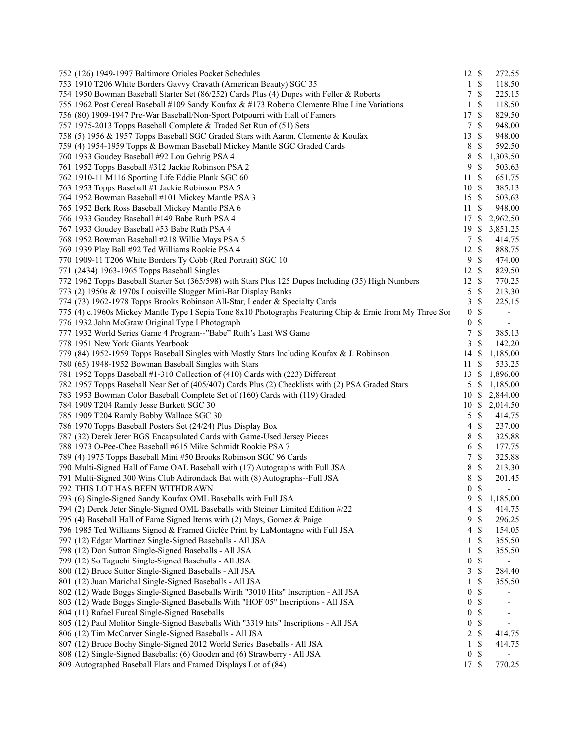| 752 (126) 1949-1997 Baltimore Orioles Pocket Schedules                                                    | 12 \$            |                 | 272.55                   |
|-----------------------------------------------------------------------------------------------------------|------------------|-----------------|--------------------------|
| 753 1910 T206 White Borders Gavvy Cravath (American Beauty) SGC 35                                        | $\mathbf{1}$     | $\mathcal{S}$   | 118.50                   |
| 754 1950 Bowman Baseball Starter Set (86/252) Cards Plus (4) Dupes with Feller & Roberts                  | $\tau$           | $\mathbb{S}$    | 225.15                   |
| 755 1962 Post Cereal Baseball #109 Sandy Koufax & #173 Roberto Clemente Blue Line Variations              | 1                | \$              | 118.50                   |
| 756 (80) 1909-1947 Pre-War Baseball/Non-Sport Potpourri with Hall of Famers                               | 17               | $\mathbf{\$}$   | 829.50                   |
| 757 1975-2013 Topps Baseball Complete & Traded Set Run of (51) Sets                                       | $\tau$           | $\mathbf{\$}$   | 948.00                   |
| 758 (5) 1956 & 1957 Topps Baseball SGC Graded Stars with Aaron, Clemente & Koufax                         | 13               | $\mathbb{S}$    | 948.00                   |
| 759 (4) 1954-1959 Topps & Bowman Baseball Mickey Mantle SGC Graded Cards                                  | $\,8\,$          | $\mathcal{S}$   | 592.50                   |
| 760 1933 Goudey Baseball #92 Lou Gehrig PSA 4                                                             | 8                | \$              | 1,303.50                 |
| 761 1952 Topps Baseball #312 Jackie Robinson PSA 2                                                        | 9                | $\mathcal{S}$   | 503.63                   |
| 762 1910-11 M116 Sporting Life Eddie Plank SGC 60                                                         | 11               | $\mathbf{\$}$   | 651.75                   |
| 763 1953 Topps Baseball #1 Jackie Robinson PSA 5                                                          | 10 \$            |                 | 385.13                   |
| 764 1952 Bowman Baseball #101 Mickey Mantle PSA 3                                                         | 15S              |                 | 503.63                   |
| 765 1952 Berk Ross Baseball Mickey Mantle PSA 6                                                           | 11               | $\mathbf{\$}$   | 948.00                   |
| 766 1933 Goudey Baseball #149 Babe Ruth PSA 4                                                             | 17S              |                 | 2,962.50                 |
| 767 1933 Goudey Baseball #53 Babe Ruth PSA 4                                                              | 19               | \$              | 3,851.25                 |
| 768 1952 Bowman Baseball #218 Willie Mays PSA 5                                                           |                  | 7 \$            | 414.75                   |
|                                                                                                           | 12               | $\mathbb{S}$    |                          |
| 769 1939 Play Ball #92 Ted Williams Rookie PSA 4                                                          |                  |                 | 888.75                   |
| 770 1909-11 T206 White Borders Ty Cobb (Red Portrait) SGC 10                                              | 9                | $\mathcal{S}$   | 474.00                   |
| 771 (2434) 1963-1965 Topps Baseball Singles                                                               | 12S              |                 | 829.50                   |
| 772 1962 Topps Baseball Starter Set (365/598) with Stars Plus 125 Dupes Including (35) High Numbers       | 12 \$            |                 | 770.25                   |
| 773 (2) 1950s & 1970s Louisville Slugger Mini-Bat Display Banks                                           | 5                | $\mathbb{S}$    | 213.30                   |
| 774 (73) 1962-1978 Topps Brooks Robinson All-Star, Leader & Specialty Cards                               | $\mathfrak{Z}$   | $\mathbb{S}$    | 225.15                   |
| 775 (4) c.1960s Mickey Mantle Type I Sepia Tone 8x10 Photographs Featuring Chip & Ernie from My Three Sor | $\boldsymbol{0}$ | $\mathbb{S}$    | $\overline{\phantom{a}}$ |
| 776 1932 John McGraw Original Type I Photograph                                                           | $\boldsymbol{0}$ | $\mathbb{S}$    | $\overline{\phantom{a}}$ |
| 777 1932 World Series Game 4 Program--"Babe" Ruth's Last WS Game                                          | 7                | $\mathcal{S}$   | 385.13                   |
| 778 1951 New York Giants Yearbook                                                                         | 3                | $\mathbb{S}$    | 142.20                   |
| 779 (84) 1952-1959 Topps Baseball Singles with Mostly Stars Including Koufax & J. Robinson                | 14               | \$              | 1,185.00                 |
| 780 (65) 1948-1952 Bowman Baseball Singles with Stars                                                     | 11               | \$              | 533.25                   |
| 781 1952 Topps Baseball #1-310 Collection of (410) Cards with (223) Different                             | 13               | \$              | 1,896.00                 |
| 782 1957 Topps Baseball Near Set of (405/407) Cards Plus (2) Checklists with (2) PSA Graded Stars         |                  | $5 \text{ }$ \$ | 1,185.00                 |
| 783 1953 Bowman Color Baseball Complete Set of (160) Cards with (119) Graded                              | 10               | \$              | 2,844.00                 |
| 784 1909 T204 Ramly Jesse Burkett SGC 30                                                                  | 10               | $\mathbb{S}$    | 2,014.50                 |
| 785 1909 T204 Ramly Bobby Wallace SGC 30                                                                  | 5                | $\mathbb{S}$    | 414.75                   |
| 786 1970 Topps Baseball Posters Set (24/24) Plus Display Box                                              | $\overline{4}$   | $\mathbb{S}$    | 237.00                   |
| 787 (32) Derek Jeter BGS Encapsulated Cards with Game-Used Jersey Pieces                                  | 8                | $\mathbb{S}$    | 325.88                   |
| 788 1973 O-Pee-Chee Baseball #615 Mike Schmidt Rookie PSA 7                                               | 6                | $\mathbf{\$}$   | 177.75                   |
| 789 (4) 1975 Topps Baseball Mini #50 Brooks Robinson SGC 96 Cards                                         | 7                | $\mathcal{S}$   | 325.88                   |
| 790 Multi-Signed Hall of Fame OAL Baseball with (17) Autographs with Full JSA                             | 8                | $\mathbb{S}$    | 213.30                   |
| 791 Multi-Signed 300 Wins Club Adirondack Bat with (8) Autographs--Full JSA                               | 8                | \$              | 201.45                   |
| 792 THIS LOT HAS BEEN WITHDRAWN                                                                           | $\boldsymbol{0}$ | $\mathcal{S}$   |                          |
| 793 (6) Single-Signed Sandy Koufax OML Baseballs with Full JSA                                            | 9                | $\mathbb{S}$    | 1,185.00                 |
| 794 (2) Derek Jeter Single-Signed OML Baseballs with Steiner Limited Edition #/22                         | 4                | \$              | 414.75                   |
| 795 (4) Baseball Hall of Fame Signed Items with (2) Mays, Gomez & Paige                                   | 9                | $\mathbb{S}$    | 296.25                   |
| 796 1985 Ted Williams Signed & Framed Giclée Print by LaMontagne with Full JSA                            | 4                | \$              | 154.05                   |
| 797 (12) Edgar Martinez Single-Signed Baseballs - All JSA                                                 | 1                | \$              | 355.50                   |
| 798 (12) Don Sutton Single-Signed Baseballs - All JSA                                                     | $\mathbf{1}$     | \$              | 355.50                   |
| 799 (12) So Taguchi Single-Signed Baseballs - All JSA                                                     | $\boldsymbol{0}$ | \$              |                          |
| 800 (12) Bruce Sutter Single-Signed Baseballs - All JSA                                                   | 3                | $\mathbb{S}$    | 284.40                   |
|                                                                                                           |                  |                 |                          |
| 801 (12) Juan Marichal Single-Signed Baseballs - All JSA                                                  | 1                | \$              | 355.50                   |
| 802 (12) Wade Boggs Single-Signed Baseballs Wirth "3010 Hits" Inscription - All JSA                       | $\boldsymbol{0}$ | \$              |                          |
| 803 (12) Wade Boggs Single-Signed Baseballs With "HOF 05" Inscriptions - All JSA                          | $\boldsymbol{0}$ | $\mathbb{S}$    |                          |
| 804 (11) Rafael Furcal Single-Signed Baseballs                                                            | $\boldsymbol{0}$ | $\mathbb{S}$    |                          |
| 805 (12) Paul Molitor Single-Signed Baseballs With "3319 hits" Inscriptions - All JSA                     | $\boldsymbol{0}$ | \$              |                          |
| 806 (12) Tim McCarver Single-Signed Baseballs - All JSA                                                   | $\boldsymbol{2}$ | $\mathbb{S}$    | 414.75                   |
| 807 (12) Bruce Bochy Single-Signed 2012 World Series Baseballs - All JSA                                  | 1                | \$              | 414.75                   |
| 808 (12) Single-Signed Baseballs: (6) Gooden and (6) Strawberry - All JSA                                 | $\boldsymbol{0}$ | $\mathbb{S}$    |                          |
| 809 Autographed Baseball Flats and Framed Displays Lot of (84)                                            | 17 \$            |                 | 770.25                   |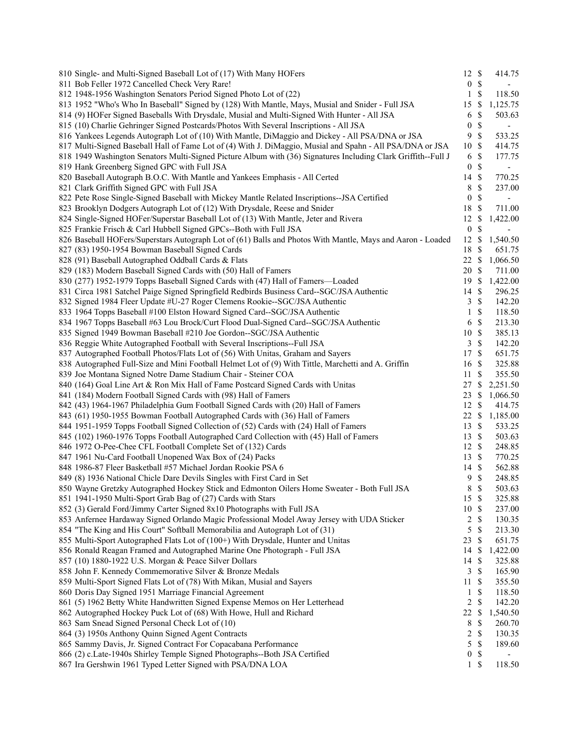| 810 Single- and Multi-Signed Baseball Lot of (17) With Many HOFers                                            | 12 \$            |               | 414.75                   |
|---------------------------------------------------------------------------------------------------------------|------------------|---------------|--------------------------|
| 811 Bob Feller 1972 Cancelled Check Very Rare!                                                                | $\overline{0}$   | $\mathcal{S}$ | $\overline{\phantom{a}}$ |
| 812 1948-1956 Washington Senators Period Signed Photo Lot of (22)                                             | $\mathbf{1}$     | $\mathbb{S}$  | 118.50                   |
| 813 1952 "Who's Who In Baseball" Signed by (128) With Mantle, Mays, Musial and Snider - Full JSA              | 15               | \$            | 1,125.75                 |
| 814 (9) HOFer Signed Baseballs With Drysdale, Musial and Multi-Signed With Hunter - All JSA                   | 6                | \$            | 503.63                   |
| 815 (10) Charlie Gehringer Signed Postcards/Photos With Several Inscriptions - All JSA                        | $\boldsymbol{0}$ | $\mathbb{S}$  | $\overline{\phantom{a}}$ |
| 816 Yankees Legends Autograph Lot of (10) With Mantle, DiMaggio and Dickey - All PSA/DNA or JSA               | 9                | $\mathbb{S}$  | 533.25                   |
| 817 Multi-Signed Baseball Hall of Fame Lot of (4) With J. DiMaggio, Musial and Spahn - All PSA/DNA or JSA     | 10               | $\mathcal{S}$ | 414.75                   |
| 818 1949 Washington Senators Multi-Signed Picture Album with (36) Signatures Including Clark Griffith--Full J | 6                | \$            | 177.75                   |
| 819 Hank Greenberg Signed GPC with Full JSA                                                                   | $\boldsymbol{0}$ | \$            | $\overline{\phantom{a}}$ |
| 820 Baseball Autograph B.O.C. With Mantle and Yankees Emphasis - All Certed                                   | 14               | $\mathcal{S}$ | 770.25                   |
| 821 Clark Griffith Signed GPC with Full JSA                                                                   | 8                | \$            | 237.00                   |
| 822 Pete Rose Single-Signed Baseball with Mickey Mantle Related Inscriptions--JSA Certified                   | $\boldsymbol{0}$ | \$            |                          |
| 823 Brooklyn Dodgers Autograph Lot of (12) With Drysdale, Reese and Snider                                    | 18               | $\mathbb{S}$  | 711.00                   |
| 824 Single-Signed HOFer/Superstar Baseball Lot of (13) With Mantle, Jeter and Rivera                          | 12               | \$            | 1,422.00                 |
| 825 Frankie Frisch & Carl Hubbell Signed GPCs--Both with Full JSA                                             | $\boldsymbol{0}$ | \$            | $\overline{\phantom{a}}$ |
| 826 Baseball HOFers/Superstars Autograph Lot of (61) Balls and Photos With Mantle, Mays and Aaron - Loaded    | 12               | \$            | 1,540.50                 |
| 827 (83) 1950-1954 Bowman Baseball Signed Cards                                                               | 18               | \$            | 651.75                   |
| 828 (91) Baseball Autographed Oddball Cards & Flats                                                           | 22               | -S            | 1,066.50                 |
| 829 (183) Modern Baseball Signed Cards with (50) Hall of Famers                                               | 20               | $\mathbb{S}$  | 711.00                   |
| 830 (277) 1952-1979 Topps Baseball Signed Cards with (47) Hall of Famers-Loaded                               | 19               | $\mathbb{S}$  | 1,422.00                 |
| 831 Circa 1981 Satchel Paige Signed Springfield Redbirds Business Card--SGC/JSA Authentic                     | 14               | <sup>\$</sup> | 296.25                   |
| 832 Signed 1984 Fleer Update #U-27 Roger Clemens Rookie--SGC/JSA Authentic                                    | 3                | $\mathcal{S}$ | 142.20                   |
| 833 1964 Topps Baseball #100 Elston Howard Signed Card--SGC/JSA Authentic                                     | $\mathbf{1}$     | $\mathbb{S}$  | 118.50                   |
|                                                                                                               |                  | $\mathbb{S}$  | 213.30                   |
| 834 1967 Topps Baseball #63 Lou Brock/Curt Flood Dual-Signed Card--SGC/JSA Authentic                          | 6                | $\mathcal{S}$ |                          |
| 835 Signed 1949 Bowman Baseball #210 Joe Gordon--SGC/JSA Authentic                                            | 10               | $\mathbb{S}$  | 385.13<br>142.20         |
| 836 Reggie White Autographed Football with Several Inscriptions--Full JSA                                     | 3                |               |                          |
| 837 Autographed Football Photos/Flats Lot of (56) With Unitas, Graham and Sayers                              | 17               | $\mathbb{S}$  | 651.75                   |
| 838 Autographed Full-Size and Mini Football Helmet Lot of (9) With Tittle, Marchetti and A. Griffin           | 16               | \$            | 325.88                   |
| 839 Joe Montana Signed Notre Dame Stadium Chair - Steiner COA                                                 | 11               | \$            | 355.50                   |
| 840 (164) Goal Line Art & Ron Mix Hall of Fame Postcard Signed Cards with Unitas                              | 27               | -S            | 2,251.50                 |
| 841 (184) Modern Football Signed Cards with (98) Hall of Famers                                               | 23               | \$            | 1,066.50                 |
| 842 (43) 1964-1967 Philadelphia Gum Football Signed Cards with (20) Hall of Famers                            | 12S              |               | 414.75                   |
| 843 (61) 1950-1955 Bowman Football Autographed Cards with (36) Hall of Famers                                 | 22               | \$            | 1,185.00                 |
| 844 1951-1959 Topps Football Signed Collection of (52) Cards with (24) Hall of Famers                         | 13               | -S            | 533.25                   |
| 845 (102) 1960-1976 Topps Football Autographed Card Collection with (45) Hall of Famers                       | 13S              |               | 503.63                   |
| 846 1972 O-Pee-Chee CFL Football Complete Set of (132) Cards                                                  | 12 \$            |               | 248.85                   |
| 847 1961 Nu-Card Football Unopened Wax Box of (24) Packs                                                      | 13S              |               | 770.25                   |
| 848 1986-87 Fleer Basketball #57 Michael Jordan Rookie PSA 6                                                  | 14 \$            |               | 562.88                   |
| 849 (8) 1936 National Chicle Dare Devils Singles with First Card in Set                                       | 9                | \$            | 248.85                   |
| 850 Wayne Gretzky Autographed Hockey Stick and Edmonton Oilers Home Sweater - Both Full JSA                   | 8                | \$            | 503.63                   |
| 851 1941-1950 Multi-Sport Grab Bag of (27) Cards with Stars                                                   | 15 \$            |               | 325.88                   |
| 852 (3) Gerald Ford/Jimmy Carter Signed 8x10 Photographs with Full JSA                                        | 10               | $\mathbb{S}$  | 237.00                   |
| 853 Anfernee Hardaway Signed Orlando Magic Professional Model Away Jersey with UDA Sticker                    | $\overline{c}$   | $\mathbb{S}$  | 130.35                   |
| 854 "The King and His Court" Softball Memorabilia and Autograph Lot of (31)                                   | 5                | $\mathbb{S}$  | 213.30                   |
| 855 Multi-Sport Autographed Flats Lot of (100+) With Drysdale, Hunter and Unitas                              | 23               | \$            | 651.75                   |
| 856 Ronald Reagan Framed and Autographed Marine One Photograph - Full JSA                                     | 14               | <sup>\$</sup> | 1,422.00                 |
| 857 (10) 1880-1922 U.S. Morgan & Peace Silver Dollars                                                         | 14               | <sup>\$</sup> | 325.88                   |
| 858 John F. Kennedy Commemorative Silver & Bronze Medals                                                      | 3                | $\mathcal{S}$ | 165.90                   |
| 859 Multi-Sport Signed Flats Lot of (78) With Mikan, Musial and Sayers                                        | 11               | -\$           | 355.50                   |
| 860 Doris Day Signed 1951 Marriage Financial Agreement                                                        | 1                | \$            | 118.50                   |
| 861 (5) 1962 Betty White Handwritten Signed Expense Memos on Her Letterhead                                   | 2                | \$            | 142.20                   |
| 862 Autographed Hockey Puck Lot of (68) With Howe, Hull and Richard                                           | 22               | <sup>\$</sup> | 1,540.50                 |
| 863 Sam Snead Signed Personal Check Lot of (10)                                                               | 8                | \$            | 260.70                   |
| 864 (3) 1950s Anthony Quinn Signed Agent Contracts                                                            | $\overline{c}$   | $\mathcal{S}$ | 130.35                   |
| 865 Sammy Davis, Jr. Signed Contract For Copacabana Performance                                               | 5                | $\mathbb S$   | 189.60                   |
| 866 (2) c.Late-1940s Shirley Temple Signed Photographs--Both JSA Certified                                    | $\boldsymbol{0}$ | \$            |                          |
| 867 Ira Gershwin 1961 Typed Letter Signed with PSA/DNA LOA                                                    | $1 \sqrt{S}$     |               | 118.50                   |